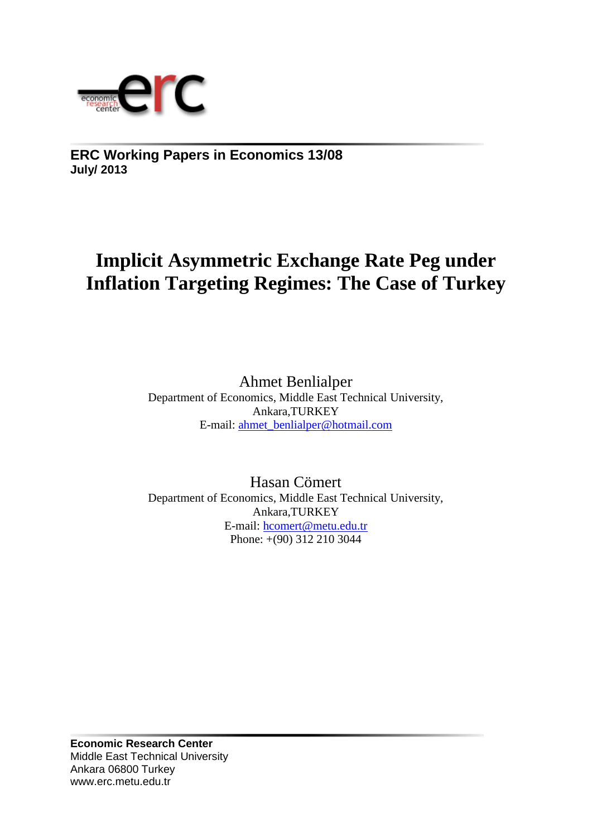

**ERC Working Papers in Economics 13/08 July/ 2013**

# **Implicit Asymmetric Exchange Rate Peg under Inflation Targeting Regimes: The Case of Turkey**

Ahmet Benlialper Department of Economics, Middle East Technical University, Ankara,TURKEY E-mail: [ahmet\\_benlialper@hotmail.com](mailto:ahmet_benlialper@hotmail.com)

Hasan Cömert Department of Economics, Middle East Technical University, Ankara,TURKEY E-mail: [hcomert@metu.edu.tr](mailto:hcomert@metu.edu.tr) Phone: +(90) 312 210 3044

**Economic Research Center** Middle East Technical University Ankara 06800 Turkey www.erc.metu.edu.tr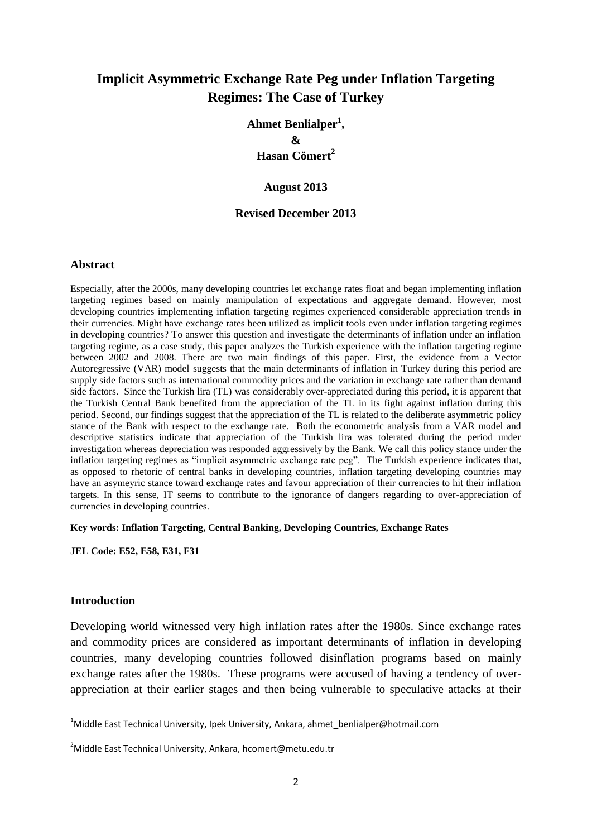# **Implicit Asymmetric Exchange Rate Peg under Inflation Targeting Regimes: The Case of Turkey**

**Ahmet Benlialper<sup>1</sup> , & Hasan Cömert<sup>2</sup>**

#### **August 2013**

## **Revised December 2013**

#### **Abstract**

Especially, after the 2000s, many developing countries let exchange rates float and began implementing inflation targeting regimes based on mainly manipulation of expectations and aggregate demand. However, most developing countries implementing inflation targeting regimes experienced considerable appreciation trends in their currencies. Might have exchange rates been utilized as implicit tools even under inflation targeting regimes in developing countries? To answer this question and investigate the determinants of inflation under an inflation targeting regime, as a case study, this paper analyzes the Turkish experience with the inflation targeting regime between 2002 and 2008. There are two main findings of this paper. First, the evidence from a Vector Autoregressive (VAR) model suggests that the main determinants of inflation in Turkey during this period are supply side factors such as international commodity prices and the variation in exchange rate rather than demand side factors. Since the Turkish lira (TL) was considerably over-appreciated during this period, it is apparent that the Turkish Central Bank benefited from the appreciation of the TL in its fight against inflation during this period. Second, our findings suggest that the appreciation of the TL is related to the deliberate asymmetric policy stance of the Bank with respect to the exchange rate. Both the econometric analysis from a VAR model and descriptive statistics indicate that appreciation of the Turkish lira was tolerated during the period under investigation whereas depreciation was responded aggressively by the Bank. We call this policy stance under the inflation targeting regimes as "implicit asymmetric exchange rate peg". The Turkish experience indicates that, as opposed to rhetoric of central banks in developing countries, inflation targeting developing countries may have an asymeyric stance toward exchange rates and favour appreciation of their currencies to hit their inflation targets. In this sense, IT seems to contribute to the ignorance of dangers regarding to over-appreciation of currencies in developing countries.

## **Key words: Inflation Targeting, Central Banking, Developing Countries, Exchange Rates**

**JEL Code: E52, E58, E31, F31**

## **Introduction**

1

Developing world witnessed very high inflation rates after the 1980s. Since exchange rates and commodity prices are considered as important determinants of inflation in developing countries, many developing countries followed disinflation programs based on mainly exchange rates after the 1980s. These programs were accused of having a tendency of overappreciation at their earlier stages and then being vulnerable to speculative attacks at their

<sup>&</sup>lt;sup>1</sup>Middle East Technical University, Ipek University, Ankara, ahmet benlialper@hotmail.com

<sup>&</sup>lt;sup>2</sup>Middle East Technical University, Ankara, [hcomert@metu.edu.tr](mailto:hcomert@metu.edu.tr)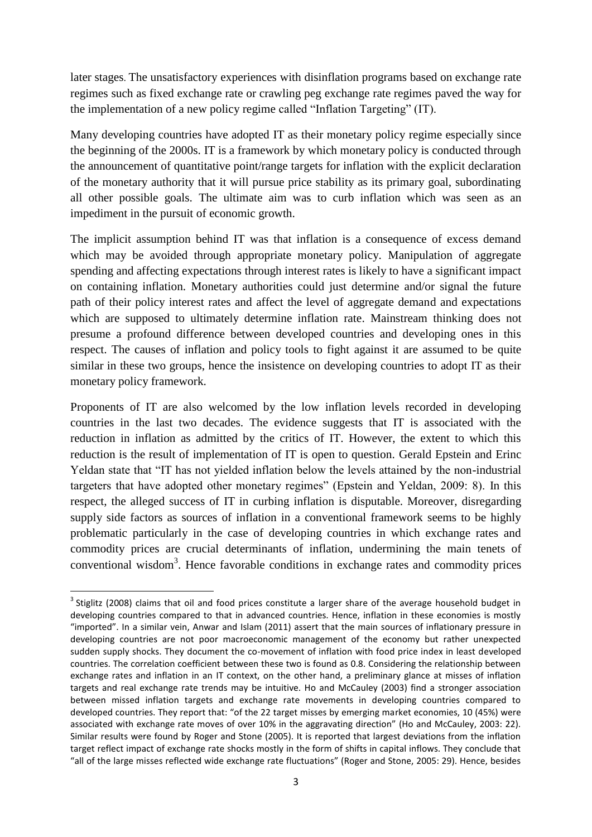later stages. The unsatisfactory experiences with disinflation programs based on exchange rate regimes such as fixed exchange rate or crawling peg exchange rate regimes paved the way for the implementation of a new policy regime called "Inflation Targeting" (IT).

Many developing countries have adopted IT as their monetary policy regime especially since the beginning of the 2000s. IT is a framework by which monetary policy is conducted through the announcement of quantitative point/range targets for inflation with the explicit declaration of the monetary authority that it will pursue price stability as its primary goal, subordinating all other possible goals. The ultimate aim was to curb inflation which was seen as an impediment in the pursuit of economic growth.

The implicit assumption behind IT was that inflation is a consequence of excess demand which may be avoided through appropriate monetary policy. Manipulation of aggregate spending and affecting expectations through interest rates is likely to have a significant impact on containing inflation. Monetary authorities could just determine and/or signal the future path of their policy interest rates and affect the level of aggregate demand and expectations which are supposed to ultimately determine inflation rate. Mainstream thinking does not presume a profound difference between developed countries and developing ones in this respect. The causes of inflation and policy tools to fight against it are assumed to be quite similar in these two groups, hence the insistence on developing countries to adopt IT as their monetary policy framework.

Proponents of IT are also welcomed by the low inflation levels recorded in developing countries in the last two decades. The evidence suggests that IT is associated with the reduction in inflation as admitted by the critics of IT. However, the extent to which this reduction is the result of implementation of IT is open to question. Gerald Epstein and Erinc Yeldan state that "IT has not yielded inflation below the levels attained by the non-industrial targeters that have adopted other monetary regimes" (Epstein and Yeldan, 2009: 8). In this respect, the alleged success of IT in curbing inflation is disputable. Moreover, disregarding supply side factors as sources of inflation in a conventional framework seems to be highly problematic particularly in the case of developing countries in which exchange rates and commodity prices are crucial determinants of inflation, undermining the main tenets of conventional wisdom<sup>3</sup>. Hence favorable conditions in exchange rates and commodity prices

1

 $3$  Stiglitz (2008) claims that oil and food prices constitute a larger share of the average household budget in developing countries compared to that in advanced countries. Hence, inflation in these economies is mostly "imported". In a similar vein, Anwar and Islam (2011) assert that the main sources of inflationary pressure in developing countries are not poor macroeconomic management of the economy but rather unexpected sudden supply shocks. They document the co-movement of inflation with food price index in least developed countries. The correlation coefficient between these two is found as 0.8. Considering the relationship between exchange rates and inflation in an IT context, on the other hand, a preliminary glance at misses of inflation targets and real exchange rate trends may be intuitive. Ho and McCauley (2003) find a stronger association between missed inflation targets and exchange rate movements in developing countries compared to developed countries. They report that: "of the 22 target misses by emerging market economies, 10 (45%) were associated with exchange rate moves of over 10% in the aggravating direction" (Ho and McCauley, 2003: 22). Similar results were found by Roger and Stone (2005). It is reported that largest deviations from the inflation target reflect impact of exchange rate shocks mostly in the form of shifts in capital inflows. They conclude that "all of the large misses reflected wide exchange rate fluctuations" (Roger and Stone, 2005: 29). Hence, besides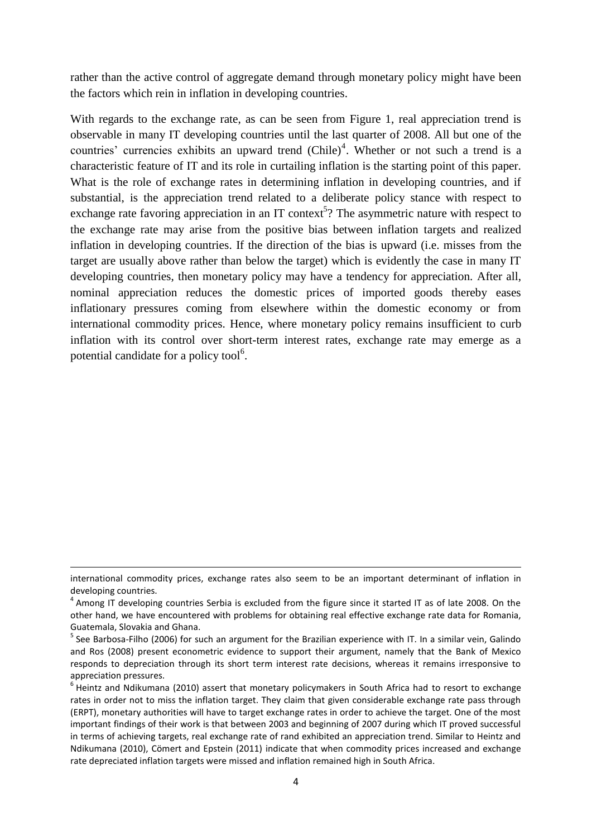rather than the active control of aggregate demand through monetary policy might have been the factors which rein in inflation in developing countries.

With regards to the exchange rate, as can be seen from Figure 1, real appreciation trend is observable in many IT developing countries until the last quarter of 2008. All but one of the countries' currencies exhibits an upward trend  $(Chile)^4$ . Whether or not such a trend is a characteristic feature of IT and its role in curtailing inflation is the starting point of this paper. What is the role of exchange rates in determining inflation in developing countries, and if substantial, is the appreciation trend related to a deliberate policy stance with respect to exchange rate favoring appreciation in an IT context<sup>5</sup>? The asymmetric nature with respect to the exchange rate may arise from the positive bias between inflation targets and realized inflation in developing countries. If the direction of the bias is upward (i.e. misses from the target are usually above rather than below the target) which is evidently the case in many IT developing countries, then monetary policy may have a tendency for appreciation. After all, nominal appreciation reduces the domestic prices of imported goods thereby eases inflationary pressures coming from elsewhere within the domestic economy or from international commodity prices. Hence, where monetary policy remains insufficient to curb inflation with its control over short-term interest rates, exchange rate may emerge as a potential candidate for a policy tool $<sup>6</sup>$ .</sup>

 $\overline{a}$ 

international commodity prices, exchange rates also seem to be an important determinant of inflation in developing countries.

 $^4$  Among IT developing countries Serbia is excluded from the figure since it started IT as of late 2008. On the other hand, we have encountered with problems for obtaining real effective exchange rate data for Romania, Guatemala, Slovakia and Ghana.

<sup>&</sup>lt;sup>5</sup> See Barbosa-Filho (2006) for such an argument for the Brazilian experience with IT. In a similar vein, Galindo and Ros (2008) present econometric evidence to support their argument, namely that the Bank of Mexico responds to depreciation through its short term interest rate decisions, whereas it remains irresponsive to appreciation pressures.

<sup>&</sup>lt;sup>6</sup> Heintz and Ndikumana (2010) assert that monetary policymakers in South Africa had to resort to exchange rates in order not to miss the inflation target. They claim that given considerable exchange rate pass through (ERPT), monetary authorities will have to target exchange rates in order to achieve the target. One of the most important findings of their work is that between 2003 and beginning of 2007 during which IT proved successful in terms of achieving targets, real exchange rate of rand exhibited an appreciation trend. Similar to Heintz and Ndikumana (2010), Cömert and Epstein (2011) indicate that when commodity prices increased and exchange rate depreciated inflation targets were missed and inflation remained high in South Africa.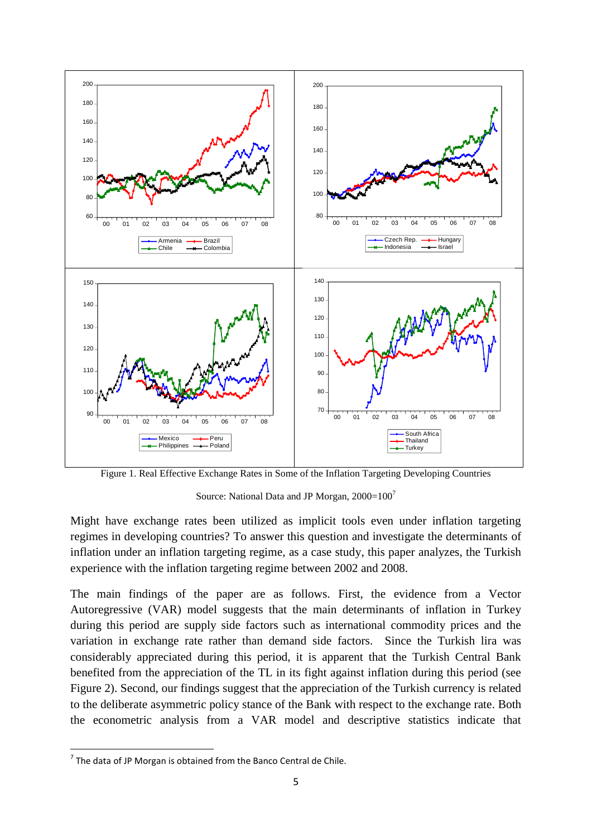

Figure 1. Real Effective Exchange Rates in Some of the Inflation Targeting Developing Countries

Source: National Data and JP Morgan,  $2000=100^7$ 

Might have exchange rates been utilized as implicit tools even under inflation targeting regimes in developing countries? To answer this question and investigate the determinants of inflation under an inflation targeting regime, as a case study, this paper analyzes, the Turkish experience with the inflation targeting regime between 2002 and 2008.

The main findings of the paper are as follows. First, the evidence from a Vector Autoregressive (VAR) model suggests that the main determinants of inflation in Turkey during this period are supply side factors such as international commodity prices and the variation in exchange rate rather than demand side factors. Since the Turkish lira was considerably appreciated during this period, it is apparent that the Turkish Central Bank benefited from the appreciation of the TL in its fight against inflation during this period (see Figure 2). Second, our findings suggest that the appreciation of the Turkish currency is related to the deliberate asymmetric policy stance of the Bank with respect to the exchange rate. Both the econometric analysis from a VAR model and descriptive statistics indicate that

**The data of JP Morgan is obtained from the Banco Central de Chile.**<br>The data of JP Morgan is obtained from the Banco Central de Chile.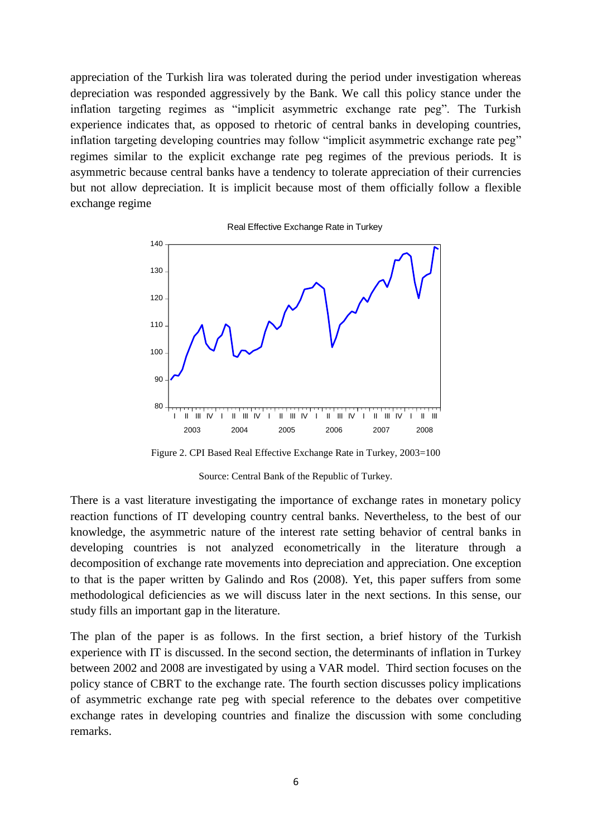appreciation of the Turkish lira was tolerated during the period under investigation whereas depreciation was responded aggressively by the Bank. We call this policy stance under the inflation targeting regimes as "implicit asymmetric exchange rate peg". The Turkish experience indicates that, as opposed to rhetoric of central banks in developing countries, inflation targeting developing countries may follow "implicit asymmetric exchange rate peg" regimes similar to the explicit exchange rate peg regimes of the previous periods. It is asymmetric because central banks have a tendency to tolerate appreciation of their currencies but not allow depreciation. It is implicit because most of them officially follow a flexible exchange regime





Figure 2. CPI Based Real Effective Exchange Rate in Turkey, 2003=100

#### Source: Central Bank of the Republic of Turkey.

There is a vast literature investigating the importance of exchange rates in monetary policy reaction functions of IT developing country central banks. Nevertheless, to the best of our knowledge, the asymmetric nature of the interest rate setting behavior of central banks in developing countries is not analyzed econometrically in the literature through a decomposition of exchange rate movements into depreciation and appreciation. One exception to that is the paper written by Galindo and Ros (2008). Yet, this paper suffers from some methodological deficiencies as we will discuss later in the next sections. In this sense, our study fills an important gap in the literature.

The plan of the paper is as follows. In the first section, a brief history of the Turkish experience with IT is discussed. In the second section, the determinants of inflation in Turkey between 2002 and 2008 are investigated by using a VAR model. Third section focuses on the policy stance of CBRT to the exchange rate. The fourth section discusses policy implications of asymmetric exchange rate peg with special reference to the debates over competitive exchange rates in developing countries and finalize the discussion with some concluding remarks.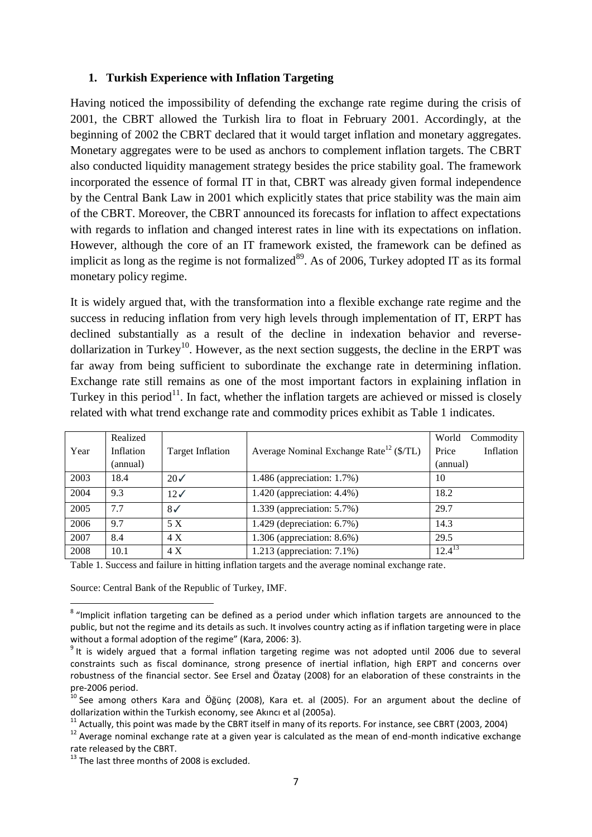## **1. Turkish Experience with Inflation Targeting**

Having noticed the impossibility of defending the exchange rate regime during the crisis of 2001, the CBRT allowed the Turkish lira to float in February 2001. Accordingly, at the beginning of 2002 the CBRT declared that it would target inflation and monetary aggregates. Monetary aggregates were to be used as anchors to complement inflation targets. The CBRT also conducted liquidity management strategy besides the price stability goal. The framework incorporated the essence of formal IT in that, CBRT was already given formal independence by the Central Bank Law in 2001 which explicitly states that price stability was the main aim of the CBRT. Moreover, the CBRT announced its forecasts for inflation to affect expectations with regards to inflation and changed interest rates in line with its expectations on inflation. However, although the core of an IT framework existed, the framework can be defined as implicit as long as the regime is not formalized $8^9$ . As of 2006, Turkey adopted IT as its formal monetary policy regime.

It is widely argued that, with the transformation into a flexible exchange rate regime and the success in reducing inflation from very high levels through implementation of IT, ERPT has declined substantially as a result of the decline in indexation behavior and reversedollarization in Turkey<sup>10</sup>. However, as the next section suggests, the decline in the ERPT was far away from being sufficient to subordinate the exchange rate in determining inflation. Exchange rate still remains as one of the most important factors in explaining inflation in Turkey in this period<sup>11</sup>. In fact, whether the inflation targets are achieved or missed is closely related with what trend exchange rate and commodity prices exhibit as Table 1 indicates.

|      | Realized  |                         |                                                                | World<br>Commodity |
|------|-----------|-------------------------|----------------------------------------------------------------|--------------------|
| Year | Inflation | <b>Target Inflation</b> | Average Nominal Exchange Rate <sup>12</sup> ( $\sqrt[5]{TL}$ ) | Price<br>Inflation |
|      | (annual)  |                         |                                                                | (annual)           |
| 2003 | 18.4      | $20\checkmark$          | $1.486$ (appreciation: 1.7%)                                   | 10                 |
| 2004 | 9.3       | $12\checkmark$          | 1.420 (appreciation: 4.4%)                                     | 18.2               |
| 2005 | 7.7       | $8\checkmark$           | 1.339 (appreciation: 5.7%)                                     | 29.7               |
| 2006 | 9.7       | 5 X                     | 1.429 (depreciation: $6.7\%$ )                                 | 14.3               |
| 2007 | 8.4       | 4X                      | 1.306 (appreciation: 8.6%)                                     | 29.5               |
| 2008 | 10.1      | 4 X                     | $1.213$ (appreciation: $7.1\%$ )                               | $12.4^{13}$        |

Table 1. Success and failure in hitting inflation targets and the average nominal exchange rate.

Source: Central Bank of the Republic of Turkey, IMF.

 8 "Implicit inflation targeting can be defined as a period under which inflation targets are announced to the public, but not the regime and its details as such. It involves country acting as if inflation targeting were in place without a formal adoption of the regime" (Kara, 2006: 3).

<sup>&</sup>lt;sup>9</sup> It is widely argued that a formal inflation targeting regime was not adopted until 2006 due to several constraints such as fiscal dominance, strong presence of inertial inflation, high ERPT and concerns over robustness of the financial sector. See Ersel and Özatay (2008) for an elaboration of these constraints in the pre-2006 period.

<sup>&</sup>lt;sup>10</sup> See among others Kara and Öğünç (2008), Kara et. al (2005). For an argument about the decline of dollarization within the Turkish economy, see Akıncı et al (2005a).

 $11$  Actually, this point was made by the CBRT itself in many of its reports. For instance, see CBRT (2003, 2004)

 $12$  Average nominal exchange rate at a given year is calculated as the mean of end-month indicative exchange rate released by the CBRT.

<sup>&</sup>lt;sup>13</sup> The last three months of 2008 is excluded.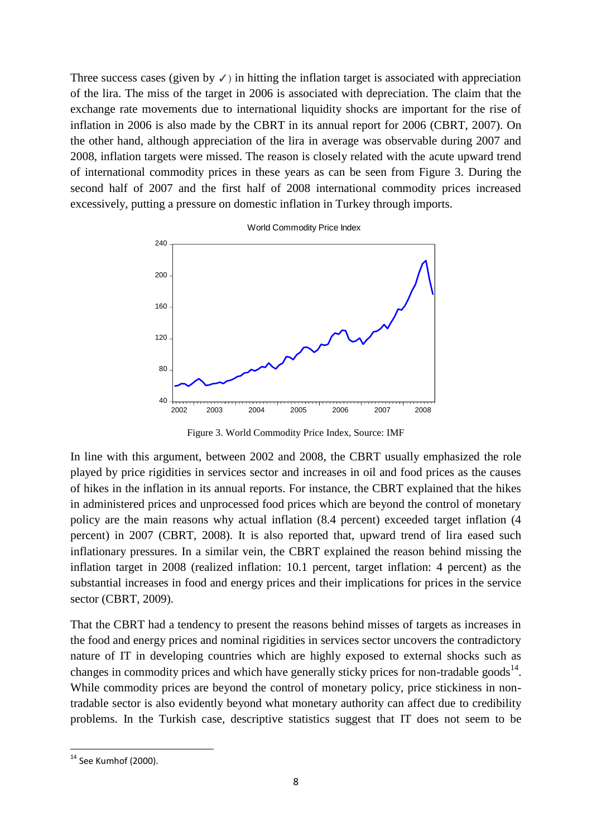Three success cases (given by  $\checkmark$ ) in hitting the inflation target is associated with appreciation of the lira. The miss of the target in 2006 is associated with depreciation. The claim that the exchange rate movements due to international liquidity shocks are important for the rise of inflation in 2006 is also made by the CBRT in its annual report for 2006 (CBRT, 2007). On the other hand, although appreciation of the lira in average was observable during 2007 and 2008, inflation targets were missed. The reason is closely related with the acute upward trend of international commodity prices in these years as can be seen from Figure 3. During the second half of 2007 and the first half of 2008 international commodity prices increased excessively, putting a pressure on domestic inflation in Turkey through imports.



Figure 3. World Commodity Price Index, Source: IMF

In line with this argument, between 2002 and 2008, the CBRT usually emphasized the role played by price rigidities in services sector and increases in oil and food prices as the causes of hikes in the inflation in its annual reports. For instance, the CBRT explained that the hikes in administered prices and unprocessed food prices which are beyond the control of monetary policy are the main reasons why actual inflation (8.4 percent) exceeded target inflation (4 percent) in 2007 (CBRT, 2008). It is also reported that, upward trend of lira eased such inflationary pressures. In a similar vein, the CBRT explained the reason behind missing the inflation target in 2008 (realized inflation: 10.1 percent, target inflation: 4 percent) as the substantial increases in food and energy prices and their implications for prices in the service sector (CBRT, 2009).

That the CBRT had a tendency to present the reasons behind misses of targets as increases in the food and energy prices and nominal rigidities in services sector uncovers the contradictory nature of IT in developing countries which are highly exposed to external shocks such as changes in commodity prices and which have generally sticky prices for non-tradable goods<sup>14</sup>. While commodity prices are beyond the control of monetary policy, price stickiness in nontradable sector is also evidently beyond what monetary authority can affect due to credibility problems. In the Turkish case, descriptive statistics suggest that IT does not seem to be

 $14$  See Kumhof (2000).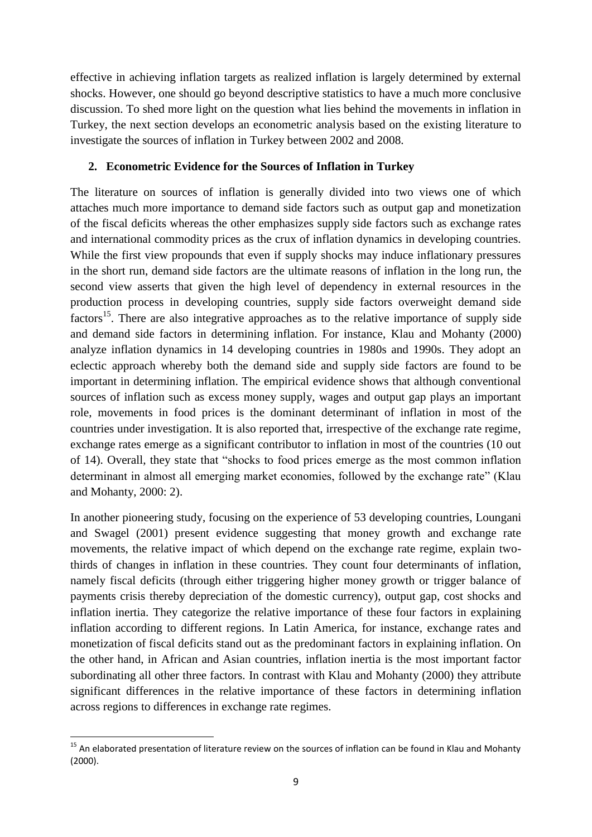effective in achieving inflation targets as realized inflation is largely determined by external shocks. However, one should go beyond descriptive statistics to have a much more conclusive discussion. To shed more light on the question what lies behind the movements in inflation in Turkey, the next section develops an econometric analysis based on the existing literature to investigate the sources of inflation in Turkey between 2002 and 2008.

## **2. Econometric Evidence for the Sources of Inflation in Turkey**

The literature on sources of inflation is generally divided into two views one of which attaches much more importance to demand side factors such as output gap and monetization of the fiscal deficits whereas the other emphasizes supply side factors such as exchange rates and international commodity prices as the crux of inflation dynamics in developing countries. While the first view propounds that even if supply shocks may induce inflationary pressures in the short run, demand side factors are the ultimate reasons of inflation in the long run, the second view asserts that given the high level of dependency in external resources in the production process in developing countries, supply side factors overweight demand side factors<sup>15</sup>. There are also integrative approaches as to the relative importance of supply side and demand side factors in determining inflation. For instance, Klau and Mohanty (2000) analyze inflation dynamics in 14 developing countries in 1980s and 1990s. They adopt an eclectic approach whereby both the demand side and supply side factors are found to be important in determining inflation. The empirical evidence shows that although conventional sources of inflation such as excess money supply, wages and output gap plays an important role, movements in food prices is the dominant determinant of inflation in most of the countries under investigation. It is also reported that, irrespective of the exchange rate regime, exchange rates emerge as a significant contributor to inflation in most of the countries (10 out of 14). Overall, they state that "shocks to food prices emerge as the most common inflation determinant in almost all emerging market economies, followed by the exchange rate" (Klau and Mohanty, 2000: 2).

In another pioneering study, focusing on the experience of 53 developing countries, Loungani and Swagel (2001) present evidence suggesting that money growth and exchange rate movements, the relative impact of which depend on the exchange rate regime, explain twothirds of changes in inflation in these countries. They count four determinants of inflation, namely fiscal deficits (through either triggering higher money growth or trigger balance of payments crisis thereby depreciation of the domestic currency), output gap, cost shocks and inflation inertia. They categorize the relative importance of these four factors in explaining inflation according to different regions. In Latin America, for instance, exchange rates and monetization of fiscal deficits stand out as the predominant factors in explaining inflation. On the other hand, in African and Asian countries, inflation inertia is the most important factor subordinating all other three factors. In contrast with Klau and Mohanty (2000) they attribute significant differences in the relative importance of these factors in determining inflation across regions to differences in exchange rate regimes.

1

<sup>&</sup>lt;sup>15</sup> An elaborated presentation of literature review on the sources of inflation can be found in Klau and Mohanty (2000).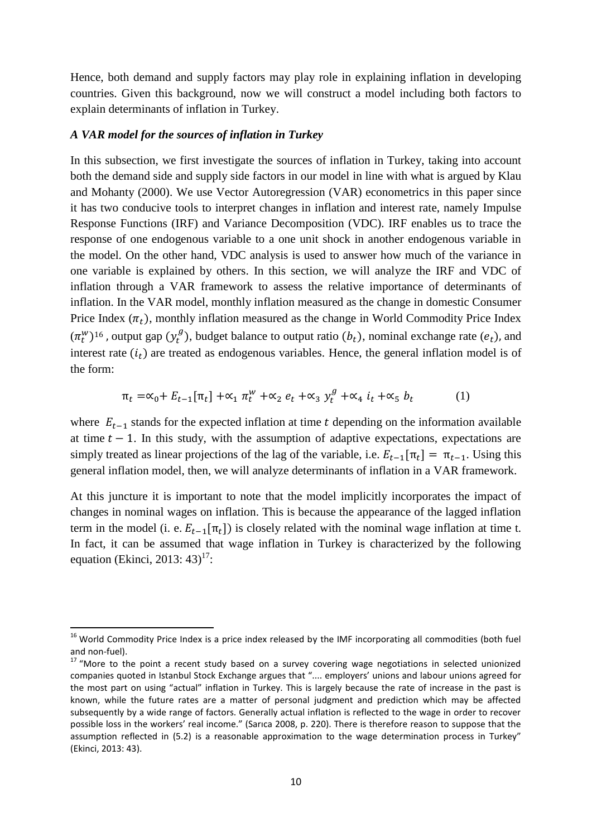Hence, both demand and supply factors may play role in explaining inflation in developing countries. Given this background, now we will construct a model including both factors to explain determinants of inflation in Turkey.

#### *A VAR model for the sources of inflation in Turkey*

1

In this subsection, we first investigate the sources of inflation in Turkey, taking into account both the demand side and supply side factors in our model in line with what is argued by Klau and Mohanty (2000). We use Vector Autoregression (VAR) econometrics in this paper since it has two conducive tools to interpret changes in inflation and interest rate, namely Impulse Response Functions (IRF) and Variance Decomposition (VDC). IRF enables us to trace the response of one endogenous variable to a one unit shock in another endogenous variable in the model. On the other hand, VDC analysis is used to answer how much of the variance in one variable is explained by others. In this section, we will analyze the IRF and VDC of inflation through a VAR framework to assess the relative importance of determinants of inflation. In the VAR model, monthly inflation measured as the change in domestic Consumer Price Index  $(\pi_t)$ , monthly inflation measured as the change in World Commodity Price Index  $(\pi_t^w)^{16}$ , output gap  $(y_t^g)$ , budget balance to output ratio  $(b_t)$ , nominal exchange rate  $(e_t)$ , and interest rate  $(i_t)$  are treated as endogenous variables. Hence, the general inflation model is of the form:

$$
\pi_t = \alpha_0 + E_{t-1}[\pi_t] + \alpha_1 \pi_t^w + \alpha_2 e_t + \alpha_3 y_t^g + \alpha_4 i_t + \alpha_5 b_t \tag{1}
$$

where  $E_{t-1}$  stands for the expected inflation at time t depending on the information available at time  $t - 1$ . In this study, with the assumption of adaptive expectations, expectations are simply treated as linear projections of the lag of the variable, i.e.  $E_{t-1}[\pi_t] = \pi_{t-1}$ . Using this general inflation model, then, we will analyze determinants of inflation in a VAR framework.

At this juncture it is important to note that the model implicitly incorporates the impact of changes in nominal wages on inflation. This is because the appearance of the lagged inflation term in the model (i. e.  $E_{t-1}[\pi_t]$ ) is closely related with the nominal wage inflation at time t. In fact, it can be assumed that wage inflation in Turkey is characterized by the following equation (Ekinci, 2013:  $43)^{17}$ :

<sup>&</sup>lt;sup>16</sup> World Commodity Price Index is a price index released by the IMF incorporating all commodities (both fuel and non-fuel).

<sup>&</sup>lt;sup>17</sup> "More to the point a recent study based on a survey covering wage negotiations in selected unionized companies quoted in Istanbul Stock Exchange argues that ".... employers' unions and labour unions agreed for the most part on using "actual" inflation in Turkey. This is largely because the rate of increase in the past is known, while the future rates are a matter of personal judgment and prediction which may be affected subsequently by a wide range of factors. Generally actual inflation is reflected to the wage in order to recover possible loss in the workers' real income." (Sarıca 2008, p. 220). There is therefore reason to suppose that the assumption reflected in (5.2) is a reasonable approximation to the wage determination process in Turkey" (Ekinci, 2013: 43).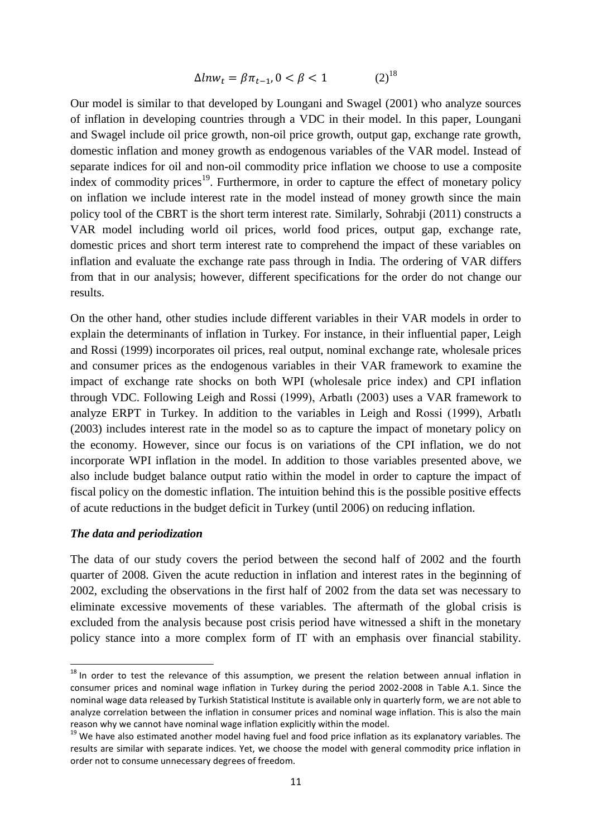$$
\Delta l n w_t = \beta \pi_{t-1}, 0 < \beta < 1 \tag{2}^{18}
$$

Our model is similar to that developed by Loungani and Swagel (2001) who analyze sources of inflation in developing countries through a VDC in their model. In this paper, Loungani and Swagel include oil price growth, non-oil price growth, output gap, exchange rate growth, domestic inflation and money growth as endogenous variables of the VAR model. Instead of separate indices for oil and non-oil commodity price inflation we choose to use a composite index of commodity prices<sup>19</sup>. Furthermore, in order to capture the effect of monetary policy on inflation we include interest rate in the model instead of money growth since the main policy tool of the CBRT is the short term interest rate. Similarly, Sohrabji (2011) constructs a VAR model including world oil prices, world food prices, output gap, exchange rate, domestic prices and short term interest rate to comprehend the impact of these variables on inflation and evaluate the exchange rate pass through in India. The ordering of VAR differs from that in our analysis; however, different specifications for the order do not change our results.

On the other hand, other studies include different variables in their VAR models in order to explain the determinants of inflation in Turkey. For instance, in their influential paper, Leigh and Rossi (1999) incorporates oil prices, real output, nominal exchange rate, wholesale prices and consumer prices as the endogenous variables in their VAR framework to examine the impact of exchange rate shocks on both WPI (wholesale price index) and CPI inflation through VDC. Following Leigh and Rossi (1999), Arbatlı (2003) uses a VAR framework to analyze ERPT in Turkey. In addition to the variables in Leigh and Rossi (1999), Arbatlı (2003) includes interest rate in the model so as to capture the impact of monetary policy on the economy. However, since our focus is on variations of the CPI inflation, we do not incorporate WPI inflation in the model. In addition to those variables presented above, we also include budget balance output ratio within the model in order to capture the impact of fiscal policy on the domestic inflation. The intuition behind this is the possible positive effects of acute reductions in the budget deficit in Turkey (until 2006) on reducing inflation.

## *The data and periodization*

**.** 

The data of our study covers the period between the second half of 2002 and the fourth quarter of 2008. Given the acute reduction in inflation and interest rates in the beginning of 2002, excluding the observations in the first half of 2002 from the data set was necessary to eliminate excessive movements of these variables. The aftermath of the global crisis is excluded from the analysis because post crisis period have witnessed a shift in the monetary policy stance into a more complex form of IT with an emphasis over financial stability.

<sup>&</sup>lt;sup>18</sup> In order to test the relevance of this assumption, we present the relation between annual inflation in consumer prices and nominal wage inflation in Turkey during the period 2002-2008 in Table A.1. Since the nominal wage data released by Turkish Statistical Institute is available only in quarterly form, we are not able to analyze correlation between the inflation in consumer prices and nominal wage inflation. This is also the main reason why we cannot have nominal wage inflation explicitly within the model.

<sup>&</sup>lt;sup>19</sup> We have also estimated another model having fuel and food price inflation as its explanatory variables. The results are similar with separate indices. Yet, we choose the model with general commodity price inflation in order not to consume unnecessary degrees of freedom.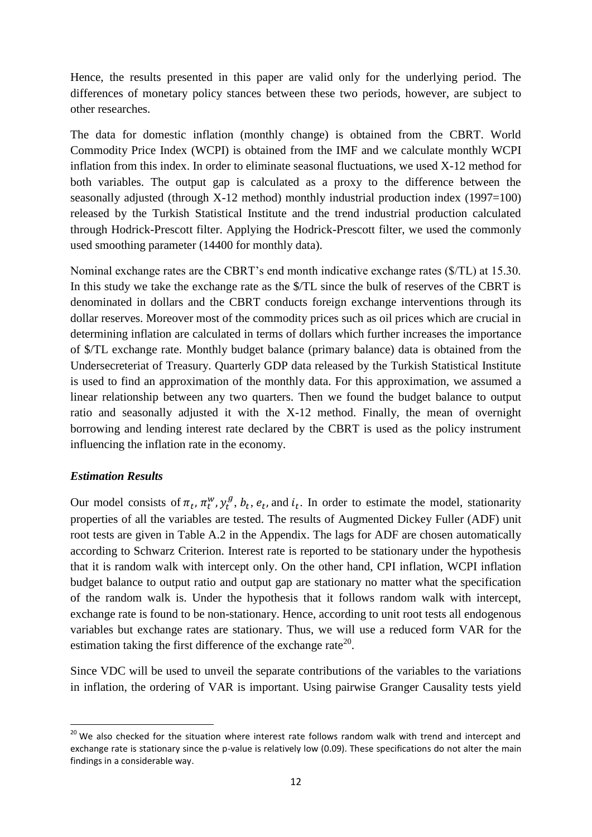Hence, the results presented in this paper are valid only for the underlying period. The differences of monetary policy stances between these two periods, however, are subject to other researches.

The data for domestic inflation (monthly change) is obtained from the CBRT. World Commodity Price Index (WCPI) is obtained from the IMF and we calculate monthly WCPI inflation from this index. In order to eliminate seasonal fluctuations, we used X-12 method for both variables. The output gap is calculated as a proxy to the difference between the seasonally adjusted (through  $X-12$  method) monthly industrial production index (1997=100) released by the Turkish Statistical Institute and the trend industrial production calculated through Hodrick-Prescott filter. Applying the Hodrick-Prescott filter, we used the commonly used smoothing parameter (14400 for monthly data).

Nominal exchange rates are the CBRT's end month indicative exchange rates (\$/TL) at 15.30. In this study we take the exchange rate as the \$/TL since the bulk of reserves of the CBRT is denominated in dollars and the CBRT conducts foreign exchange interventions through its dollar reserves. Moreover most of the commodity prices such as oil prices which are crucial in determining inflation are calculated in terms of dollars which further increases the importance of \$/TL exchange rate. Monthly budget balance (primary balance) data is obtained from the Undersecreteriat of Treasury. Quarterly GDP data released by the Turkish Statistical Institute is used to find an approximation of the monthly data. For this approximation, we assumed a linear relationship between any two quarters. Then we found the budget balance to output ratio and seasonally adjusted it with the X-12 method. Finally, the mean of overnight borrowing and lending interest rate declared by the CBRT is used as the policy instrument influencing the inflation rate in the economy.

## *Estimation Results*

Our model consists of  $\pi_t$ ,  $\pi_t^w$ ,  $y_t^g$ ,  $b_t$ ,  $e_t$ , and  $i_t$ . In order to estimate the model, stationarity properties of all the variables are tested. The results of Augmented Dickey Fuller (ADF) unit root tests are given in Table A.2 in the Appendix. The lags for ADF are chosen automatically according to Schwarz Criterion. Interest rate is reported to be stationary under the hypothesis that it is random walk with intercept only. On the other hand, CPI inflation, WCPI inflation budget balance to output ratio and output gap are stationary no matter what the specification of the random walk is. Under the hypothesis that it follows random walk with intercept, exchange rate is found to be non-stationary. Hence, according to unit root tests all endogenous variables but exchange rates are stationary. Thus, we will use a reduced form VAR for the estimation taking the first difference of the exchange rate<sup>20</sup>.

Since VDC will be used to unveil the separate contributions of the variables to the variations in inflation, the ordering of VAR is important. Using pairwise Granger Causality tests yield

**<sup>.</sup>** <sup>20</sup> We also checked for the situation where interest rate follows random walk with trend and intercept and exchange rate is stationary since the p-value is relatively low (0.09). These specifications do not alter the main findings in a considerable way.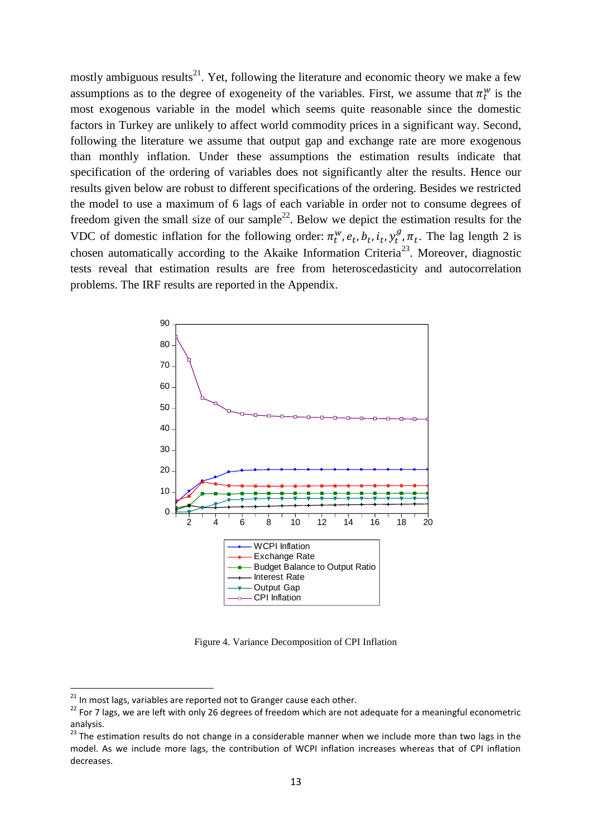mostly ambiguous results<sup>21</sup>. Yet, following the literature and economic theory we make a few assumptions as to the degree of exogeneity of the variables. First, we assume that  $\pi_t^w$  is the most exogenous variable in the model which seems quite reasonable since the domestic factors in Turkey are unlikely to affect world commodity prices in a significant way. Second, following the literature we assume that output gap and exchange rate are more exogenous than monthly inflation. Under these assumptions the estimation results indicate that specification of the ordering of variables does not significantly alter the results. Hence our results given below are robust to different specifications of the ordering. Besides we restricted the model to use a maximum of 6 lags of each variable in order not to consume degrees of freedom given the small size of our sample<sup>22</sup>. Below we depict the estimation results for the VDC of domestic inflation for the following order:  $\pi_t^w$ ,  $e_t$ ,  $b_t$ ,  $i_t$ ,  $y_t^g$ ,  $\pi_t$ . The lag length 2 is chosen automatically according to the Akaike Information Criteria<sup>23</sup>. Moreover, diagnostic tests reveal that estimation results are free from heteroscedasticity and autocorrelation problems. The IRF results are reported in the Appendix.



Figure 4. Variance Decomposition of CPI Inflation

 $21$  In most lags, variables are reported not to Granger cause each other.

<sup>&</sup>lt;sup>22</sup> For 7 lags, we are left with only 26 degrees of freedom which are not adequate for a meaningful econometric analysis.

 $^{23}$  The estimation results do not change in a considerable manner when we include more than two lags in the model. As we include more lags, the contribution of WCPI inflation increases whereas that of CPI inflation decreases.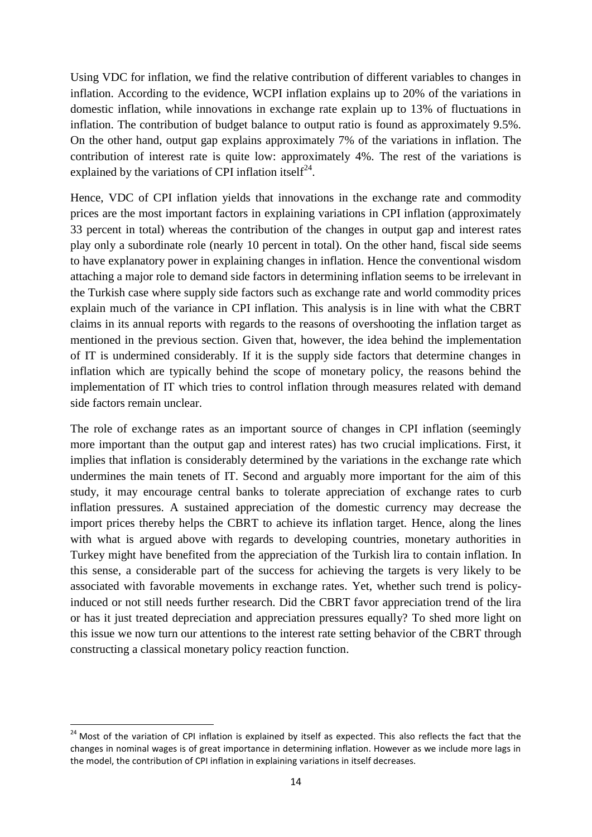Using VDC for inflation, we find the relative contribution of different variables to changes in inflation. According to the evidence, WCPI inflation explains up to 20% of the variations in domestic inflation, while innovations in exchange rate explain up to 13% of fluctuations in inflation. The contribution of budget balance to output ratio is found as approximately 9.5%. On the other hand, output gap explains approximately 7% of the variations in inflation. The contribution of interest rate is quite low: approximately 4%. The rest of the variations is explained by the variations of CPI inflation itself<sup>24</sup>.

Hence, VDC of CPI inflation yields that innovations in the exchange rate and commodity prices are the most important factors in explaining variations in CPI inflation (approximately 33 percent in total) whereas the contribution of the changes in output gap and interest rates play only a subordinate role (nearly 10 percent in total). On the other hand, fiscal side seems to have explanatory power in explaining changes in inflation. Hence the conventional wisdom attaching a major role to demand side factors in determining inflation seems to be irrelevant in the Turkish case where supply side factors such as exchange rate and world commodity prices explain much of the variance in CPI inflation. This analysis is in line with what the CBRT claims in its annual reports with regards to the reasons of overshooting the inflation target as mentioned in the previous section. Given that, however, the idea behind the implementation of IT is undermined considerably. If it is the supply side factors that determine changes in inflation which are typically behind the scope of monetary policy, the reasons behind the implementation of IT which tries to control inflation through measures related with demand side factors remain unclear.

The role of exchange rates as an important source of changes in CPI inflation (seemingly more important than the output gap and interest rates) has two crucial implications. First, it implies that inflation is considerably determined by the variations in the exchange rate which undermines the main tenets of IT. Second and arguably more important for the aim of this study, it may encourage central banks to tolerate appreciation of exchange rates to curb inflation pressures. A sustained appreciation of the domestic currency may decrease the import prices thereby helps the CBRT to achieve its inflation target. Hence, along the lines with what is argued above with regards to developing countries, monetary authorities in Turkey might have benefited from the appreciation of the Turkish lira to contain inflation. In this sense, a considerable part of the success for achieving the targets is very likely to be associated with favorable movements in exchange rates. Yet, whether such trend is policyinduced or not still needs further research. Did the CBRT favor appreciation trend of the lira or has it just treated depreciation and appreciation pressures equally? To shed more light on this issue we now turn our attentions to the interest rate setting behavior of the CBRT through constructing a classical monetary policy reaction function.

<sup>&</sup>lt;sup>24</sup> Most of the variation of CPI inflation is explained by itself as expected. This also reflects the fact that the changes in nominal wages is of great importance in determining inflation. However as we include more lags in the model, the contribution of CPI inflation in explaining variations in itself decreases.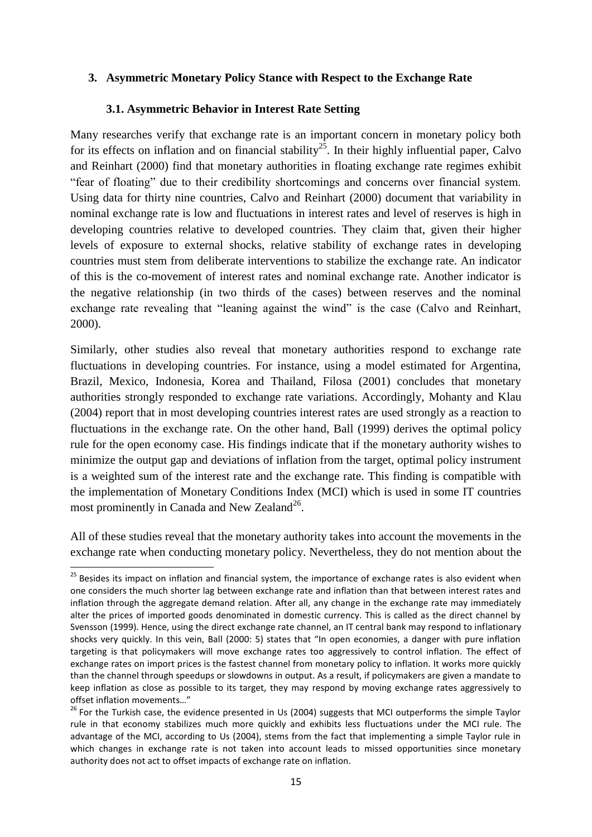## **3. Asymmetric Monetary Policy Stance with Respect to the Exchange Rate**

## **3.1. Asymmetric Behavior in Interest Rate Setting**

Many researches verify that exchange rate is an important concern in monetary policy both for its effects on inflation and on financial stability<sup>25</sup>. In their highly influential paper, Calvo and Reinhart (2000) find that monetary authorities in floating exchange rate regimes exhibit "fear of floating" due to their credibility shortcomings and concerns over financial system. Using data for thirty nine countries, Calvo and Reinhart (2000) document that variability in nominal exchange rate is low and fluctuations in interest rates and level of reserves is high in developing countries relative to developed countries. They claim that, given their higher levels of exposure to external shocks, relative stability of exchange rates in developing countries must stem from deliberate interventions to stabilize the exchange rate. An indicator of this is the co-movement of interest rates and nominal exchange rate. Another indicator is the negative relationship (in two thirds of the cases) between reserves and the nominal exchange rate revealing that "leaning against the wind" is the case (Calvo and Reinhart, 2000).

Similarly, other studies also reveal that monetary authorities respond to exchange rate fluctuations in developing countries. For instance, using a model estimated for Argentina, Brazil, Mexico, Indonesia, Korea and Thailand, Filosa (2001) concludes that monetary authorities strongly responded to exchange rate variations. Accordingly, Mohanty and Klau (2004) report that in most developing countries interest rates are used strongly as a reaction to fluctuations in the exchange rate. On the other hand, Ball (1999) derives the optimal policy rule for the open economy case. His findings indicate that if the monetary authority wishes to minimize the output gap and deviations of inflation from the target, optimal policy instrument is a weighted sum of the interest rate and the exchange rate. This finding is compatible with the implementation of Monetary Conditions Index (MCI) which is used in some IT countries most prominently in Canada and New Zealand<sup>26</sup>.

All of these studies reveal that the monetary authority takes into account the movements in the exchange rate when conducting monetary policy. Nevertheless, they do not mention about the

 $\overline{\phantom{a}}$ 

<sup>&</sup>lt;sup>25</sup> Besides its impact on inflation and financial system, the importance of exchange rates is also evident when one considers the much shorter lag between exchange rate and inflation than that between interest rates and inflation through the aggregate demand relation. After all, any change in the exchange rate may immediately alter the prices of imported goods denominated in domestic currency. This is called as the direct channel by Svensson (1999). Hence, using the direct exchange rate channel, an IT central bank may respond to inflationary shocks very quickly. In this vein, Ball (2000: 5) states that "In open economies, a danger with pure inflation targeting is that policymakers will move exchange rates too aggressively to control inflation. The effect of exchange rates on import prices is the fastest channel from monetary policy to inflation. It works more quickly than the channel through speedups or slowdowns in output. As a result, if policymakers are given a mandate to keep inflation as close as possible to its target, they may respond by moving exchange rates aggressively to offset inflation movements…"

 $26$  For the Turkish case, the evidence presented in Us (2004) suggests that MCI outperforms the simple Taylor rule in that economy stabilizes much more quickly and exhibits less fluctuations under the MCI rule. The advantage of the MCI, according to Us (2004), stems from the fact that implementing a simple Taylor rule in which changes in exchange rate is not taken into account leads to missed opportunities since monetary authority does not act to offset impacts of exchange rate on inflation.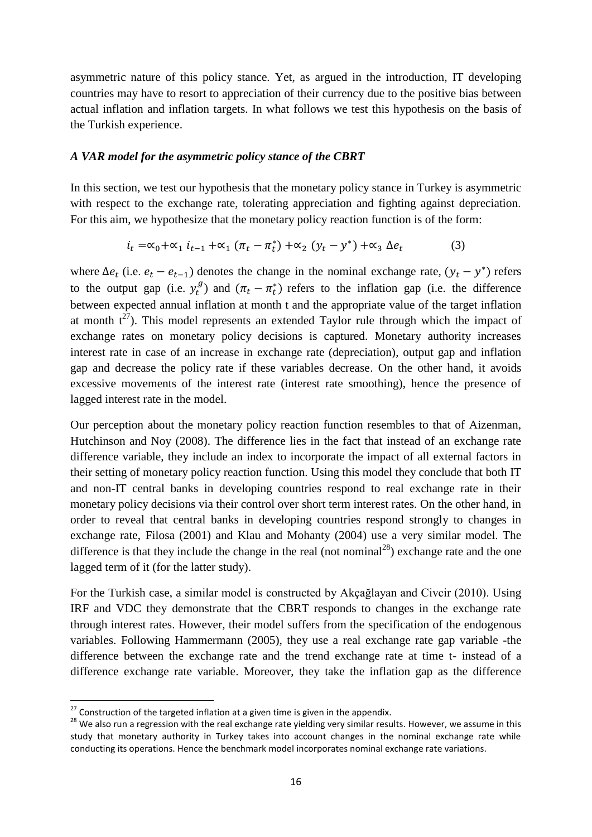asymmetric nature of this policy stance. Yet, as argued in the introduction, IT developing countries may have to resort to appreciation of their currency due to the positive bias between actual inflation and inflation targets. In what follows we test this hypothesis on the basis of the Turkish experience.

## *A VAR model for the asymmetric policy stance of the CBRT*

In this section, we test our hypothesis that the monetary policy stance in Turkey is asymmetric with respect to the exchange rate, tolerating appreciation and fighting against depreciation. For this aim, we hypothesize that the monetary policy reaction function is of the form:

$$
i_t = \alpha_0 + \alpha_1 \, i_{t-1} + \alpha_1 \, (\pi_t - \pi_t^*) + \alpha_2 \, (y_t - y^*) + \alpha_3 \, \Delta e_t \tag{3}
$$

where  $\Delta e_t$  (i.e.  $e_t - e_{t-1}$ ) denotes the change in the nominal exchange rate,  $(y_t - y^*)$  refers to the output gap (i.e.  $y_t^g$ ) and  $(\pi_t - \pi_t^*)$  refers to the inflation gap (i.e. the difference between expected annual inflation at month t and the appropriate value of the target inflation at month  $t^{27}$ ). This model represents an extended Taylor rule through which the impact of exchange rates on monetary policy decisions is captured. Monetary authority increases interest rate in case of an increase in exchange rate (depreciation), output gap and inflation gap and decrease the policy rate if these variables decrease. On the other hand, it avoids excessive movements of the interest rate (interest rate smoothing), hence the presence of lagged interest rate in the model.

Our perception about the monetary policy reaction function resembles to that of Aizenman, Hutchinson and Noy (2008). The difference lies in the fact that instead of an exchange rate difference variable, they include an index to incorporate the impact of all external factors in their setting of monetary policy reaction function. Using this model they conclude that both IT and non-IT central banks in developing countries respond to real exchange rate in their monetary policy decisions via their control over short term interest rates. On the other hand, in order to reveal that central banks in developing countries respond strongly to changes in exchange rate, Filosa (2001) and Klau and Mohanty (2004) use a very similar model. The difference is that they include the change in the real (not nominal<sup>28</sup>) exchange rate and the one lagged term of it (for the latter study).

For the Turkish case, a similar model is constructed by Akçağlayan and Civcir (2010). Using IRF and VDC they demonstrate that the CBRT responds to changes in the exchange rate through interest rates. However, their model suffers from the specification of the endogenous variables. Following Hammermann (2005), they use a real exchange rate gap variable -the difference between the exchange rate and the trend exchange rate at time t- instead of a difference exchange rate variable. Moreover, they take the inflation gap as the difference

 $27$  Construction of the targeted inflation at a given time is given in the appendix.

<sup>&</sup>lt;sup>28</sup> We also run a regression with the real exchange rate yielding very similar results. However, we assume in this study that monetary authority in Turkey takes into account changes in the nominal exchange rate while conducting its operations. Hence the benchmark model incorporates nominal exchange rate variations.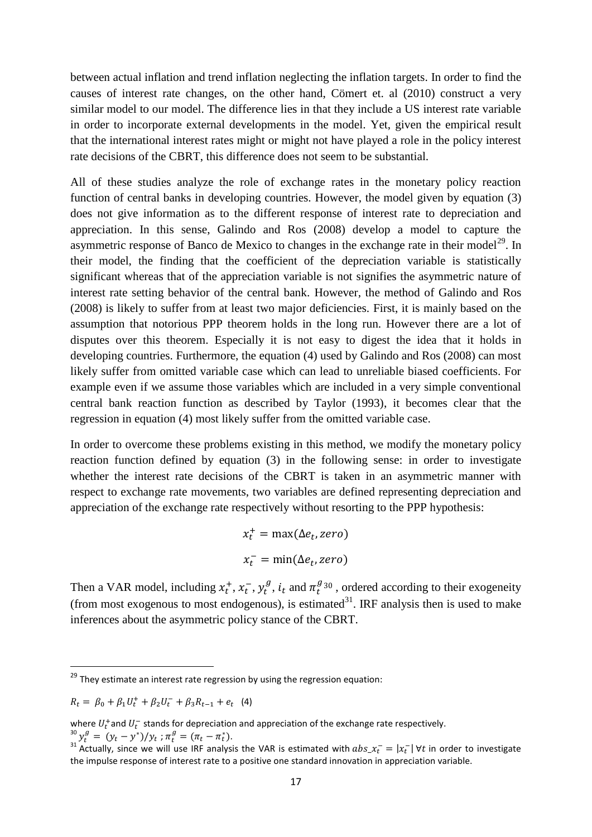between actual inflation and trend inflation neglecting the inflation targets. In order to find the causes of interest rate changes, on the other hand, Cömert et. al (2010) construct a very similar model to our model. The difference lies in that they include a US interest rate variable in order to incorporate external developments in the model. Yet, given the empirical result that the international interest rates might or might not have played a role in the policy interest rate decisions of the CBRT, this difference does not seem to be substantial.

All of these studies analyze the role of exchange rates in the monetary policy reaction function of central banks in developing countries. However, the model given by equation (3) does not give information as to the different response of interest rate to depreciation and appreciation. In this sense, Galindo and Ros (2008) develop a model to capture the asymmetric response of Banco de Mexico to changes in the exchange rate in their model<sup>29</sup>. In their model, the finding that the coefficient of the depreciation variable is statistically significant whereas that of the appreciation variable is not signifies the asymmetric nature of interest rate setting behavior of the central bank. However, the method of Galindo and Ros (2008) is likely to suffer from at least two major deficiencies. First, it is mainly based on the assumption that notorious PPP theorem holds in the long run. However there are a lot of disputes over this theorem. Especially it is not easy to digest the idea that it holds in developing countries. Furthermore, the equation (4) used by Galindo and Ros (2008) can most likely suffer from omitted variable case which can lead to unreliable biased coefficients. For example even if we assume those variables which are included in a very simple conventional central bank reaction function as described by Taylor (1993), it becomes clear that the regression in equation (4) most likely suffer from the omitted variable case.

In order to overcome these problems existing in this method, we modify the monetary policy reaction function defined by equation (3) in the following sense: in order to investigate whether the interest rate decisions of the CBRT is taken in an asymmetric manner with respect to exchange rate movements, two variables are defined representing depreciation and appreciation of the exchange rate respectively without resorting to the PPP hypothesis:

$$
x_t^+ = \max(\Delta e_t, zero)
$$
  

$$
x_t^- = \min(\Delta e_t, zero)
$$

Then a VAR model, including  $x_t^+, x_t^-, y_t^g, i_t$  and  $\pi_t^{g_{30}}$ , ordered according to their exogeneity (from most exogenous to most endogenous), is estimated  $31$ . IRF analysis then is used to make inferences about the asymmetric policy stance of the CBRT.

$$
R_t = \beta_0 + \beta_1 U_t^+ + \beta_2 U_t^- + \beta_3 R_{t-1} + e_t
$$
 (4)

 $29$  They estimate an interest rate regression by using the regression equation:

where  $U_t^+$ and  $U_t^-$  stands for depreciation and appreciation of the exchange rate respectively. <sup>30</sup>  $y_t^g = (y_t - y^*)/y_t$ ;  $\pi_t^g = (\pi_t - \pi_t^*)$ .

<sup>&</sup>lt;sup>31</sup> Actually, since we will use IRF analysis the VAR is estimated with  $abs_x \tau_t = |x_t| \forall t$  in order to investigate the impulse response of interest rate to a positive one standard innovation in appreciation variable.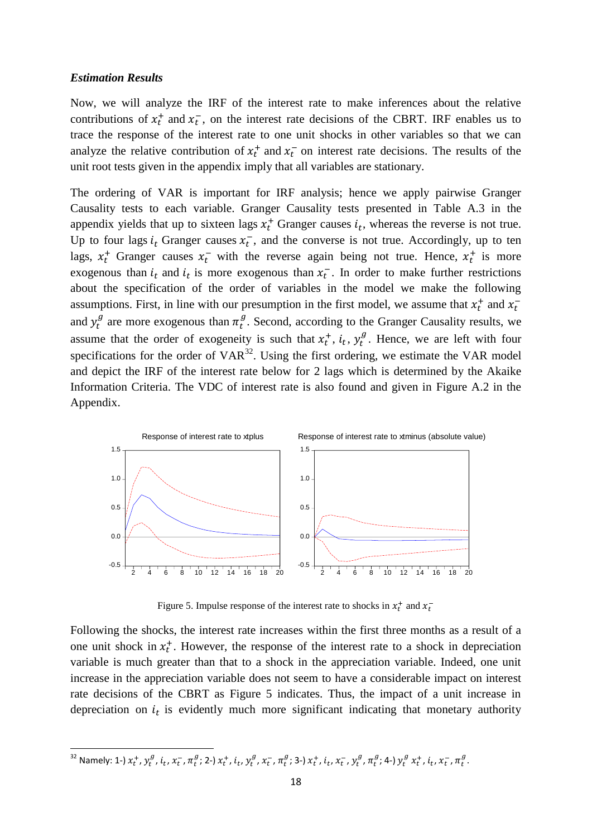#### *Estimation Results*

**.** 

Now, we will analyze the IRF of the interest rate to make inferences about the relative contributions of  $x_t^+$  and  $x_t^-$ , on the interest rate decisions of the CBRT. IRF enables us to trace the response of the interest rate to one unit shocks in other variables so that we can analyze the relative contribution of  $x_t^+$  and  $x_t^-$  on interest rate decisions. The results of the unit root tests given in the appendix imply that all variables are stationary.

The ordering of VAR is important for IRF analysis; hence we apply pairwise Granger Causality tests to each variable. Granger Causality tests presented in Table A.3 in the appendix yields that up to sixteen lags  $x_t^+$  Granger causes  $i_t$ , whereas the reverse is not true. Up to four lags  $i_t$  Granger causes  $x_t^-$ , and the converse is not true. Accordingly, up to ten lags,  $x_t^+$  Granger causes  $x_t^-$  with the reverse again being not true. Hence,  $x_t^+$  is more exogenous than  $i_t$  and  $i_t$  is more exogenous than  $x_t^-$ . In order to make further restrictions about the specification of the order of variables in the model we make the following assumptions. First, in line with our presumption in the first model, we assume that  $x_t^+$  and  $x_t^$ and  $y_t^g$  are more exogenous than  $\pi_t^g$ . Second, according to the Granger Causality results, we assume that the order of exogeneity is such that  $x_t^+, i_t, y_t^g$ . Hence, we are left with four specifications for the order of  $VAR^{32}$ . Using the first ordering, we estimate the VAR model and depict the IRF of the interest rate below for 2 lags which is determined by the Akaike Information Criteria. The VDC of interest rate is also found and given in Figure A.2 in the Appendix.



Figure 5. Impulse response of the interest rate to shocks in  $x_t^+$  and  $x_t^-$ 

Following the shocks, the interest rate increases within the first three months as a result of a one unit shock in  $x_t^+$ . However, the response of the interest rate to a shock in depreciation variable is much greater than that to a shock in the appreciation variable. Indeed, one unit increase in the appreciation variable does not seem to have a considerable impact on interest rate decisions of the CBRT as Figure 5 indicates. Thus, the impact of a unit increase in depreciation on  $i_t$  is evidently much more significant indicating that monetary authority

<sup>&</sup>lt;sup>32</sup> Namely: 1-)  $x_t^+$ ,  $y_t^g$ ,  $i_t$ ,  $x_t^-$ ,  $\pi_t^g$ ; 2-)  $x_t^+$ ,  $i_t$ ,  $y_t^g$ ,  $x_t^-$ ,  $\pi_t^g$ ; 3-)  $x_t^+$ ,  $i_t$ ,  $x_t^-$ ,  $y_t^g$ ,  $\pi_t^g$ ; 4-)  $y_t^g$   $x_t^+$ ,  $i_t$ ,  $x_t^-$ ,  $\pi_t^g$ .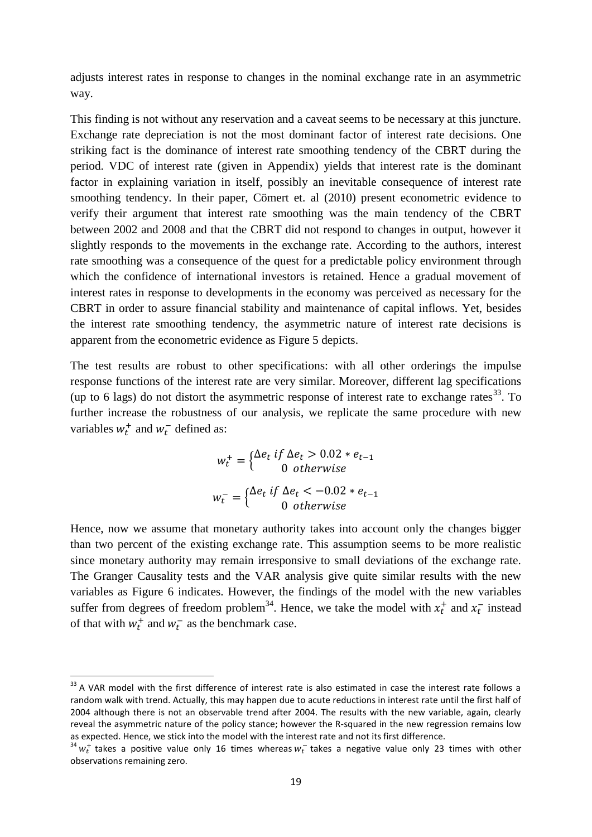adjusts interest rates in response to changes in the nominal exchange rate in an asymmetric way.

This finding is not without any reservation and a caveat seems to be necessary at this juncture. Exchange rate depreciation is not the most dominant factor of interest rate decisions. One striking fact is the dominance of interest rate smoothing tendency of the CBRT during the period. VDC of interest rate (given in Appendix) yields that interest rate is the dominant factor in explaining variation in itself, possibly an inevitable consequence of interest rate smoothing tendency. In their paper, Cömert et. al (2010) present econometric evidence to verify their argument that interest rate smoothing was the main tendency of the CBRT between 2002 and 2008 and that the CBRT did not respond to changes in output, however it slightly responds to the movements in the exchange rate. According to the authors, interest rate smoothing was a consequence of the quest for a predictable policy environment through which the confidence of international investors is retained. Hence a gradual movement of interest rates in response to developments in the economy was perceived as necessary for the CBRT in order to assure financial stability and maintenance of capital inflows. Yet, besides the interest rate smoothing tendency, the asymmetric nature of interest rate decisions is apparent from the econometric evidence as Figure 5 depicts.

The test results are robust to other specifications: with all other orderings the impulse response functions of the interest rate are very similar. Moreover, different lag specifications (up to 6 lags) do not distort the asymmetric response of interest rate to exchange rates<sup>33</sup>. To further increase the robustness of our analysis, we replicate the same procedure with new variables  $w_t^+$  and  $w_t^-$  defined as:

$$
w_t^+ = \begin{cases} \Delta e_t & \text{if } \Delta e_t > 0.02 \cdot e_{t-1} \\ 0 & \text{otherwise} \end{cases}
$$
\n
$$
w_t^- = \begin{cases} \Delta e_t & \text{if } \Delta e_t < -0.02 \cdot e_{t-1} \\ 0 & \text{otherwise} \end{cases}
$$

Hence, now we assume that monetary authority takes into account only the changes bigger than two percent of the existing exchange rate. This assumption seems to be more realistic since monetary authority may remain irresponsive to small deviations of the exchange rate. The Granger Causality tests and the VAR analysis give quite similar results with the new variables as Figure 6 indicates. However, the findings of the model with the new variables suffer from degrees of freedom problem<sup>34</sup>. Hence, we take the model with  $x_t^+$  and  $x_t^-$  instead of that with  $w_t^+$  and  $w_t^-$  as the benchmark case.

1

 $33$  A VAR model with the first difference of interest rate is also estimated in case the interest rate follows a random walk with trend. Actually, this may happen due to acute reductions in interest rate until the first half of 2004 although there is not an observable trend after 2004. The results with the new variable, again, clearly reveal the asymmetric nature of the policy stance; however the R-squared in the new regression remains low as expected. Hence, we stick into the model with the interest rate and not its first difference.

 $34 \, w_t^+$  takes a positive value only 16 times whereas  $w_t^-$  takes a negative value only 23 times with other observations remaining zero.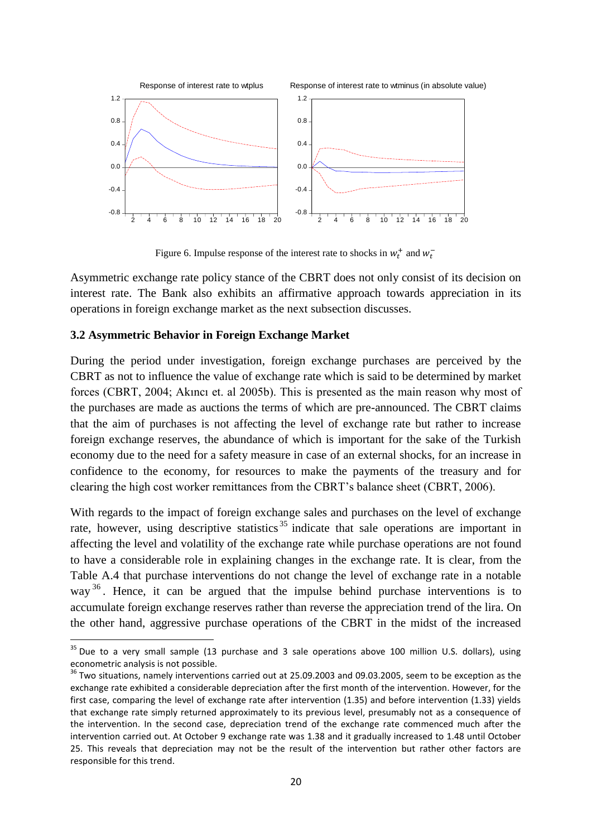

Figure 6. Impulse response of the interest rate to shocks in  $w_t^+$  and  $w_t^-$ 

Asymmetric exchange rate policy stance of the CBRT does not only consist of its decision on interest rate. The Bank also exhibits an affirmative approach towards appreciation in its operations in foreign exchange market as the next subsection discusses.

## **3.2 Asymmetric Behavior in Foreign Exchange Market**

**.** 

During the period under investigation, foreign exchange purchases are perceived by the CBRT as not to influence the value of exchange rate which is said to be determined by market forces (CBRT, 2004; Akıncı et. al 2005b). This is presented as the main reason why most of the purchases are made as auctions the terms of which are pre-announced. The CBRT claims that the aim of purchases is not affecting the level of exchange rate but rather to increase foreign exchange reserves, the abundance of which is important for the sake of the Turkish economy due to the need for a safety measure in case of an external shocks, for an increase in confidence to the economy, for resources to make the payments of the treasury and for clearing the high cost worker remittances from the CBRT's balance sheet (CBRT, 2006).

With regards to the impact of foreign exchange sales and purchases on the level of exchange rate, however, using descriptive statistics<sup>35</sup> indicate that sale operations are important in affecting the level and volatility of the exchange rate while purchase operations are not found to have a considerable role in explaining changes in the exchange rate. It is clear, from the Table A.4 that purchase interventions do not change the level of exchange rate in a notable way <sup>36</sup>. Hence, it can be argued that the impulse behind purchase interventions is to accumulate foreign exchange reserves rather than reverse the appreciation trend of the lira. On the other hand, aggressive purchase operations of the CBRT in the midst of the increased

 $35$  Due to a very small sample (13 purchase and 3 sale operations above 100 million U.S. dollars), using econometric analysis is not possible.

<sup>36</sup> Two situations, namely interventions carried out at 25.09.2003 and 09.03.2005, seem to be exception as the exchange rate exhibited a considerable depreciation after the first month of the intervention. However, for the first case, comparing the level of exchange rate after intervention (1.35) and before intervention (1.33) yields that exchange rate simply returned approximately to its previous level, presumably not as a consequence of the intervention. In the second case, depreciation trend of the exchange rate commenced much after the intervention carried out. At October 9 exchange rate was 1.38 and it gradually increased to 1.48 until October 25. This reveals that depreciation may not be the result of the intervention but rather other factors are responsible for this trend.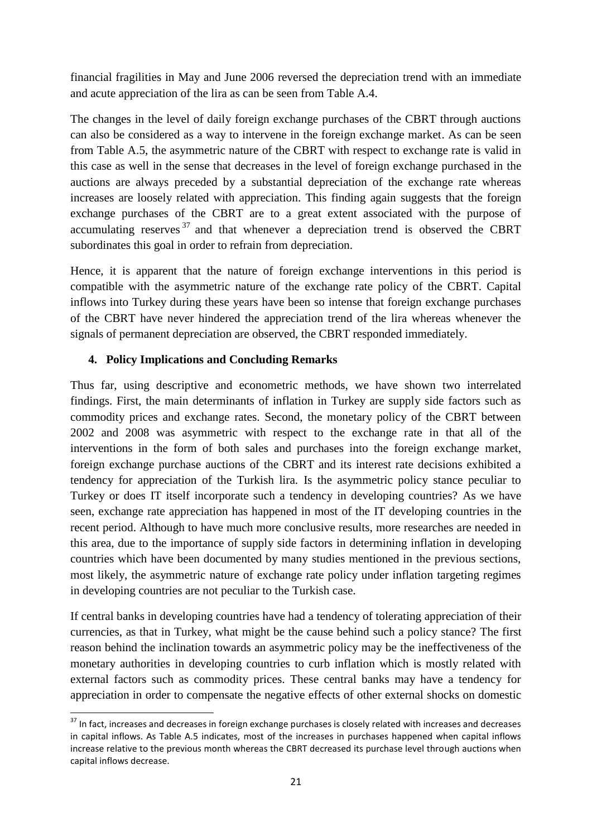financial fragilities in May and June 2006 reversed the depreciation trend with an immediate and acute appreciation of the lira as can be seen from Table A.4.

The changes in the level of daily foreign exchange purchases of the CBRT through auctions can also be considered as a way to intervene in the foreign exchange market. As can be seen from Table A.5, the asymmetric nature of the CBRT with respect to exchange rate is valid in this case as well in the sense that decreases in the level of foreign exchange purchased in the auctions are always preceded by a substantial depreciation of the exchange rate whereas increases are loosely related with appreciation. This finding again suggests that the foreign exchange purchases of the CBRT are to a great extent associated with the purpose of accumulating reserves  $37$  and that whenever a depreciation trend is observed the CBRT subordinates this goal in order to refrain from depreciation.

Hence, it is apparent that the nature of foreign exchange interventions in this period is compatible with the asymmetric nature of the exchange rate policy of the CBRT. Capital inflows into Turkey during these years have been so intense that foreign exchange purchases of the CBRT have never hindered the appreciation trend of the lira whereas whenever the signals of permanent depreciation are observed, the CBRT responded immediately.

# **4. Policy Implications and Concluding Remarks**

Thus far, using descriptive and econometric methods, we have shown two interrelated findings. First, the main determinants of inflation in Turkey are supply side factors such as commodity prices and exchange rates. Second, the monetary policy of the CBRT between 2002 and 2008 was asymmetric with respect to the exchange rate in that all of the interventions in the form of both sales and purchases into the foreign exchange market, foreign exchange purchase auctions of the CBRT and its interest rate decisions exhibited a tendency for appreciation of the Turkish lira. Is the asymmetric policy stance peculiar to Turkey or does IT itself incorporate such a tendency in developing countries? As we have seen, exchange rate appreciation has happened in most of the IT developing countries in the recent period. Although to have much more conclusive results, more researches are needed in this area, due to the importance of supply side factors in determining inflation in developing countries which have been documented by many studies mentioned in the previous sections, most likely, the asymmetric nature of exchange rate policy under inflation targeting regimes in developing countries are not peculiar to the Turkish case.

If central banks in developing countries have had a tendency of tolerating appreciation of their currencies, as that in Turkey, what might be the cause behind such a policy stance? The first reason behind the inclination towards an asymmetric policy may be the ineffectiveness of the monetary authorities in developing countries to curb inflation which is mostly related with external factors such as commodity prices. These central banks may have a tendency for appreciation in order to compensate the negative effects of other external shocks on domestic

<sup>1</sup>  $37$  In fact, increases and decreases in foreign exchange purchases is closely related with increases and decreases in capital inflows. As Table A.5 indicates, most of the increases in purchases happened when capital inflows increase relative to the previous month whereas the CBRT decreased its purchase level through auctions when capital inflows decrease.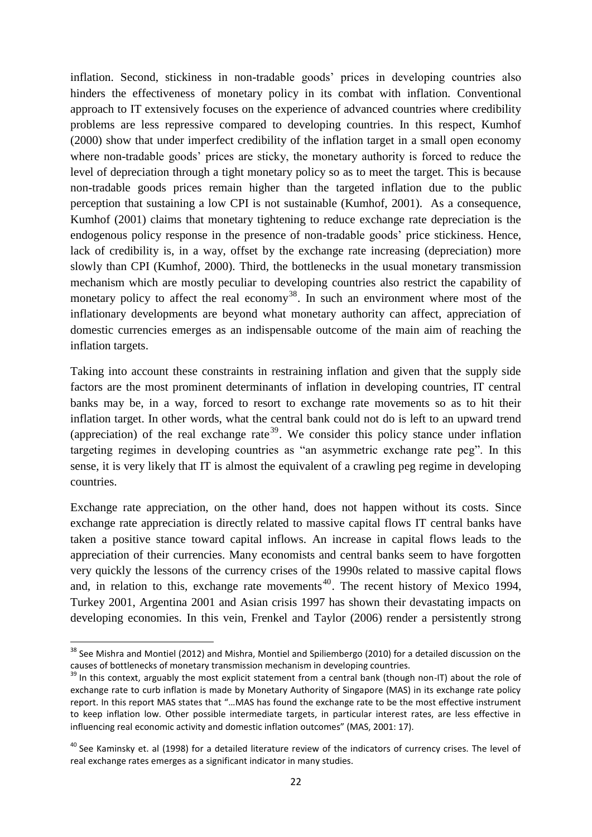inflation. Second, stickiness in non-tradable goods' prices in developing countries also hinders the effectiveness of monetary policy in its combat with inflation. Conventional approach to IT extensively focuses on the experience of advanced countries where credibility problems are less repressive compared to developing countries. In this respect, Kumhof (2000) show that under imperfect credibility of the inflation target in a small open economy where non-tradable goods' prices are sticky, the monetary authority is forced to reduce the level of depreciation through a tight monetary policy so as to meet the target. This is because non-tradable goods prices remain higher than the targeted inflation due to the public perception that sustaining a low CPI is not sustainable (Kumhof, 2001). As a consequence, Kumhof (2001) claims that monetary tightening to reduce exchange rate depreciation is the endogenous policy response in the presence of non-tradable goods' price stickiness. Hence, lack of credibility is, in a way, offset by the exchange rate increasing (depreciation) more slowly than CPI (Kumhof, 2000). Third, the bottlenecks in the usual monetary transmission mechanism which are mostly peculiar to developing countries also restrict the capability of monetary policy to affect the real economy<sup>38</sup>. In such an environment where most of the inflationary developments are beyond what monetary authority can affect, appreciation of domestic currencies emerges as an indispensable outcome of the main aim of reaching the inflation targets.

Taking into account these constraints in restraining inflation and given that the supply side factors are the most prominent determinants of inflation in developing countries, IT central banks may be, in a way, forced to resort to exchange rate movements so as to hit their inflation target. In other words, what the central bank could not do is left to an upward trend (appreciation) of the real exchange rate<sup>39</sup>. We consider this policy stance under inflation targeting regimes in developing countries as "an asymmetric exchange rate peg". In this sense, it is very likely that IT is almost the equivalent of a crawling peg regime in developing countries.

Exchange rate appreciation, on the other hand, does not happen without its costs. Since exchange rate appreciation is directly related to massive capital flows IT central banks have taken a positive stance toward capital inflows. An increase in capital flows leads to the appreciation of their currencies. Many economists and central banks seem to have forgotten very quickly the lessons of the currency crises of the 1990s related to massive capital flows and, in relation to this, exchange rate movements<sup>40</sup>. The recent history of Mexico 1994, Turkey 2001, Argentina 2001 and Asian crisis 1997 has shown their devastating impacts on developing economies. In this vein, Frenkel and Taylor (2006) render a persistently strong

<sup>&</sup>lt;sup>38</sup> See Mishra and Montiel (2012) and Mishra, Montiel and Spiliembergo (2010) for a detailed discussion on the causes of bottlenecks of monetary transmission mechanism in developing countries.

<sup>&</sup>lt;sup>39</sup> In this context, arguably the most explicit statement from a central bank (though non-IT) about the role of exchange rate to curb inflation is made by Monetary Authority of Singapore (MAS) in its exchange rate policy report. In this report MAS states that "…MAS has found the exchange rate to be the most effective instrument to keep inflation low. Other possible intermediate targets, in particular interest rates, are less effective in influencing real economic activity and domestic inflation outcomes" (MAS, 2001: 17).

 $40$  See Kaminsky et. al (1998) for a detailed literature review of the indicators of currency crises. The level of real exchange rates emerges as a significant indicator in many studies.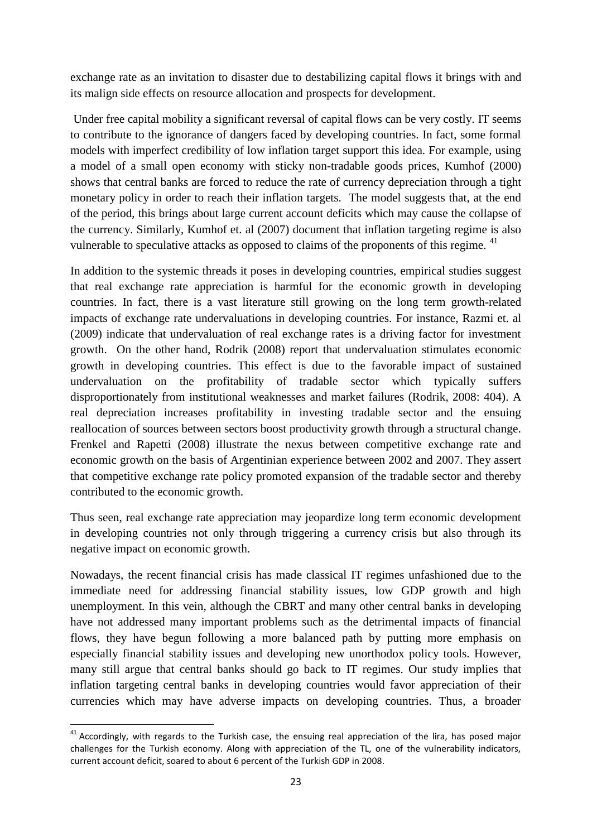exchange rate as an invitation to disaster due to destabilizing capital flows it brings with and its malign side effects on resource allocation and prospects for development.

Under free capital mobility a significant reversal of capital flows can be very costly. IT seems to contribute to the ignorance of dangers faced by developing countries. In fact, some formal models with imperfect credibility of low inflation target support this idea. For example, using a model of a small open economy with sticky non-tradable goods prices, Kumhof (2000) shows that central banks are forced to reduce the rate of currency depreciation through a tight monetary policy in order to reach their inflation targets. The model suggests that, at the end of the period, this brings about large current account deficits which may cause the collapse of the currency. Similarly, Kumhof et. al (2007) document that inflation targeting regime is also vulnerable to speculative attacks as opposed to claims of the proponents of this regime. <sup>41</sup>

In addition to the systemic threads it poses in developing countries, empirical studies suggest that real exchange rate appreciation is harmful for the economic growth in developing countries. In fact, there is a vast literature still growing on the long term growth-related impacts of exchange rate undervaluations in developing countries. For instance, Razmi et. al (2009) indicate that undervaluation of real exchange rates is a driving factor for investment growth. On the other hand, Rodrik (2008) report that undervaluation stimulates economic growth in developing countries. This effect is due to the favorable impact of sustained undervaluation on the profitability of tradable sector which typically suffers disproportionately from institutional weaknesses and market failures (Rodrik, 2008: 404). A real depreciation increases profitability in investing tradable sector and the ensuing reallocation of sources between sectors boost productivity growth through a structural change. Frenkel and Rapetti (2008) illustrate the nexus between competitive exchange rate and economic growth on the basis of Argentinian experience between 2002 and 2007. They assert that competitive exchange rate policy promoted expansion of the tradable sector and thereby contributed to the economic growth.

Thus seen, real exchange rate appreciation may jeopardize long term economic development in developing countries not only through triggering a currency crisis but also through its negative impact on economic growth.

Nowadays, the recent financial crisis has made classical IT regimes unfashioned due to the immediate need for addressing financial stability issues, low GDP growth and high unemployment. In this vein, although the CBRT and many other central banks in developing have not addressed many important problems such as the detrimental impacts of financial flows, they have begun following a more balanced path by putting more emphasis on especially financial stability issues and developing new unorthodox policy tools. However, many still argue that central banks should go back to IT regimes. Our study implies that inflation targeting central banks in developing countries would favor appreciation of their currencies which may have adverse impacts on developing countries. Thus, a broader

 $41$  Accordingly, with regards to the Turkish case, the ensuing real appreciation of the lira, has posed major challenges for the Turkish economy. Along with appreciation of the TL, one of the vulnerability indicators, current account deficit, soared to about 6 percent of the Turkish GDP in 2008.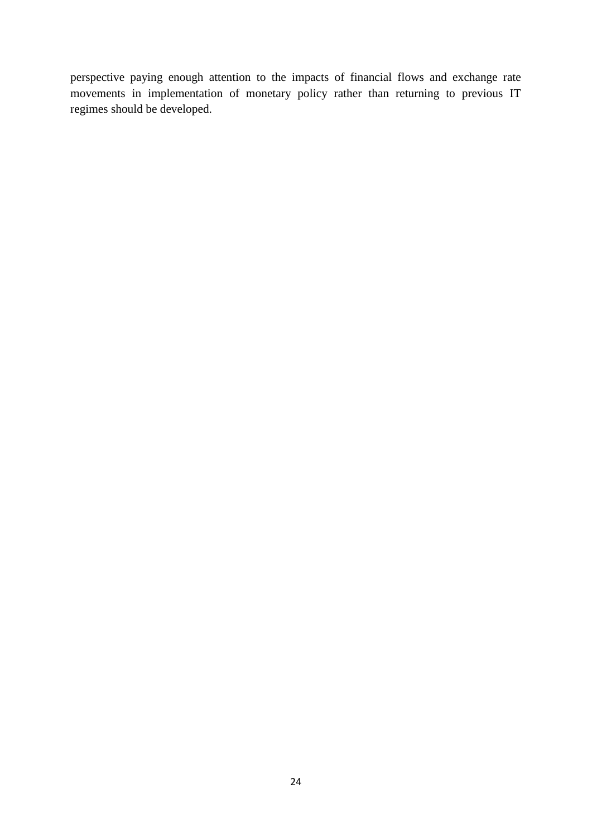perspective paying enough attention to the impacts of financial flows and exchange rate movements in implementation of monetary policy rather than returning to previous IT regimes should be developed.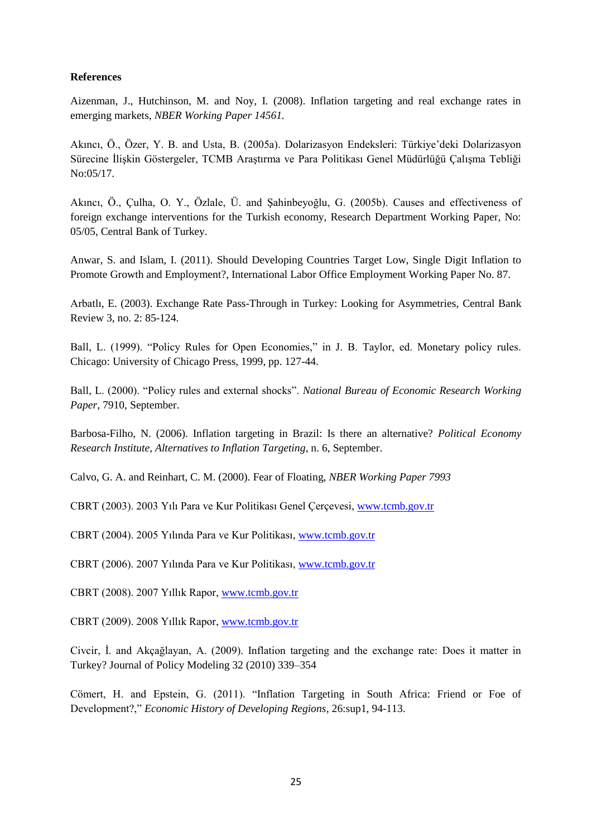## **References**

Aizenman, J., Hutchinson, M. and Noy, I. (2008). Inflation targeting and real exchange rates in emerging markets, *NBER Working Paper 14561.*

Akıncı, Ö., Özer, Y. B. and Usta, B. (2005a). Dolarizasyon Endeksleri: Türkiye'deki Dolarizasyon Sürecine İlişkin Göstergeler, TCMB Araştırma ve Para Politikası Genel Müdürlüğü Çalışma Tebliği No:05/17.

Akıncı, Ö., Çulha, O. Y., Özlale, Ü. and Şahinbeyoğlu, G. (2005b). Causes and effectiveness of foreign exchange interventions for the Turkish economy, Research Department Working Paper, No: 05/05, Central Bank of Turkey.

Anwar, S. and Islam, I. (2011). Should Developing Countries Target Low, Single Digit Inflation to Promote Growth and Employment?, International Labor Office Employment Working Paper No. 87.

Arbatlı, E. (2003). Exchange Rate Pass-Through in Turkey: Looking for Asymmetries, Central Bank Review 3, no. 2: 85-124.

Ball, L. (1999). "Policy Rules for Open Economies," in J. B. Taylor, ed. Monetary policy rules. Chicago: University of Chicago Press, 1999, pp. 127-44.

Ball, L. (2000). "Policy rules and external shocks". *National Bureau of Economic Research Working Paper,* 7910, September.

Barbosa-Filho, N. (2006). Inflation targeting in Brazil: Is there an alternative? *Political Economy Research Institute, Alternatives to Inflation Targeting*, n. 6, September.

Calvo, G. A. and Reinhart, C. M. (2000). Fear of Floating, *NBER Working Paper 7993*

CBRT (2003). 2003 Yılı Para ve Kur Politikası Genel Çerçevesi, [www.tcmb.gov.tr](http://www.tcmb.gov.tr/)

CBRT (2004). 2005 Yılında Para ve Kur Politikası, [www.tcmb.gov.tr](http://www.tcmb.gov.tr/)

CBRT (2006). 2007 Yılında Para ve Kur Politikası, [www.tcmb.gov.tr](http://www.tcmb.gov.tr/)

CBRT (2008). 2007 Yıllık Rapor[, www.tcmb.gov.tr](http://www.tcmb.gov.tr/)

CBRT (2009). 2008 Yıllık Rapor[, www.tcmb.gov.tr](http://www.tcmb.gov.tr/)

Civcir, İ. and Akçağlayan, A. (2009). Inflation targeting and the exchange rate: Does it matter in Turkey? Journal of Policy Modeling 32 (2010) 339–354

Cömert, H. and Epstein, G. (2011). "Inflation Targeting in South Africa: Friend or Foe of Development?," *Economic History of Developing Regions*, 26:sup1, 94-113.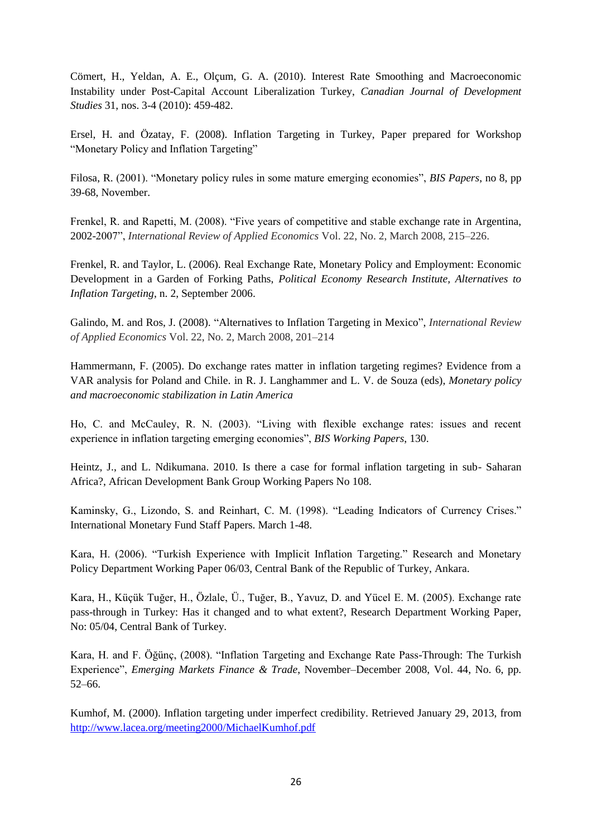Cömert, H., Yeldan, A. E., Olçum, G. A. (2010). Interest Rate Smoothing and Macroeconomic Instability under Post-Capital Account Liberalization Turkey, *Canadian Journal of Development Studies* 31, nos. 3-4 (2010): 459-482.

Ersel, H. and Özatay, F. (2008). Inflation Targeting in Turkey, Paper prepared for Workshop "Monetary Policy and Inflation Targeting"

Filosa, R. (2001). "Monetary policy rules in some mature emerging economies", *BIS Papers*, no 8, pp 39-68, November.

Frenkel, R. and Rapetti, M. (2008). "Five years of competitive and stable exchange rate in Argentina, 2002-2007", *International Review of Applied Economics* Vol. 22, No. 2, March 2008, 215–226.

Frenkel, R. and Taylor, L. (2006). Real Exchange Rate, Monetary Policy and Employment: Economic Development in a Garden of Forking Paths, *Political Economy Research Institute, Alternatives to Inflation Targeting*, n. 2, September 2006.

Galindo, M. and Ros, J. (2008). "Alternatives to Inflation Targeting in Mexico", *International Review of Applied Economics* Vol. 22, No. 2, March 2008, 201–214

Hammermann, F. (2005). Do exchange rates matter in inflation targeting regimes? Evidence from a VAR analysis for Poland and Chile. in R. J. Langhammer and L. V. de Souza (eds), *Monetary policy and macroeconomic stabilization in Latin America*

Ho, C. and McCauley, R. N. (2003). "Living with flexible exchange rates: issues and recent experience in inflation targeting emerging economies", *BIS Working Papers*, 130.

Heintz, J., and L. Ndikumana. 2010. Is there a case for formal inflation targeting in sub- Saharan Africa?, African Development Bank Group Working Papers No 108.

Kaminsky, G., Lizondo, S. and Reinhart, C. M. (1998). "Leading Indicators of Currency Crises." International Monetary Fund Staff Papers. March 1-48.

Kara, H. (2006). "Turkish Experience with Implicit Inflation Targeting." Research and Monetary Policy Department Working Paper 06/03, Central Bank of the Republic of Turkey, Ankara.

Kara, H., Küçük Tuğer, H., Özlale, Ü., Tuğer, B., Yavuz, D. and Yücel E. M. (2005). Exchange rate pass-through in Turkey: Has it changed and to what extent?, Research Department Working Paper, No: 05/04, Central Bank of Turkey.

Kara, H. and F. Öğünç, (2008). "Inflation Targeting and Exchange Rate Pass-Through: The Turkish Experience", *Emerging Markets Finance & Trade*, November–December 2008, Vol. 44, No. 6, pp. 52–66.

Kumhof, M. (2000). Inflation targeting under imperfect credibility. Retrieved January 29, 2013, from <http://www.lacea.org/meeting2000/MichaelKumhof.pdf>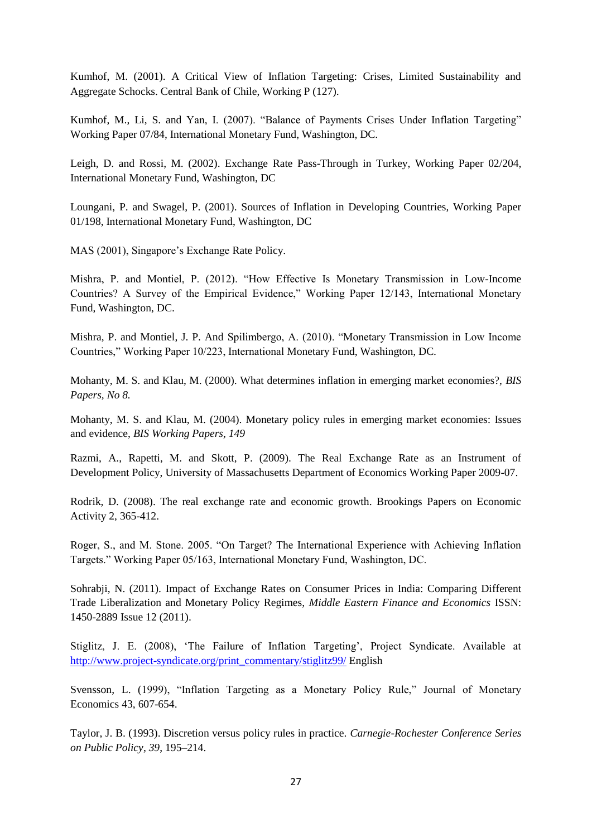Kumhof, M. (2001). A Critical View of Inflation Targeting: Crises, Limited Sustainability and Aggregate Schocks. Central Bank of Chile, Working P (127).

Kumhof, M., Li, S. and Yan, I. (2007). "Balance of Payments Crises Under Inflation Targeting" Working Paper 07/84, International Monetary Fund, Washington, DC.

Leigh, D. and Rossi, M. (2002). Exchange Rate Pass-Through in Turkey, Working Paper 02/204, International Monetary Fund, Washington, DC

Loungani, P. and Swagel, P. (2001). Sources of Inflation in Developing Countries, Working Paper 01/198, International Monetary Fund, Washington, DC

MAS (2001), Singapore's Exchange Rate Policy.

Mishra, P. and Montiel, P. (2012). "How Effective Is Monetary Transmission in Low-Income Countries? A Survey of the Empirical Evidence," Working Paper 12/143, International Monetary Fund, Washington, DC.

Mishra, P. and Montiel, J. P. And Spilimbergo, A. (2010). "Monetary Transmission in Low Income Countries," Working Paper 10/223, International Monetary Fund, Washington, DC.

Mohanty, M. S. and Klau, M. (2000). What determines inflation in emerging market economies?, *BIS Papers, No 8.*

Mohanty, M. S. and Klau, M. (2004). Monetary policy rules in emerging market economies: Issues and evidence, *BIS Working Papers, 149*

Razmi, A., Rapetti, M. and Skott, P. (2009). The Real Exchange Rate as an Instrument of Development Policy, University of Massachusetts Department of Economics Working Paper 2009-07.

Rodrik, D. (2008). The real exchange rate and economic growth. Brookings Papers on Economic Activity 2, 365-412.

Roger, S., and M. Stone. 2005. "On Target? The International Experience with Achieving Inflation Targets." Working Paper 05/163, International Monetary Fund, Washington, DC.

Sohrabji, N. (2011). Impact of Exchange Rates on Consumer Prices in India: Comparing Different Trade Liberalization and Monetary Policy Regimes, *Middle Eastern Finance and Economics* ISSN: 1450-2889 Issue 12 (2011).

Stiglitz, J. E. (2008), 'The Failure of Inflation Targeting', Project Syndicate. Available at [http://www.project-syndicate.org/print\\_commentary/stiglitz99/](http://www.project-syndicate.org/print_commentary/stiglitz99/) English

Svensson, L. (1999), "Inflation Targeting as a Monetary Policy Rule," Journal of Monetary Economics 43, 607-654.

Taylor, J. B. (1993). Discretion versus policy rules in practice. *Carnegie-Rochester Conference Series on Public Policy*, *39*, 195–214.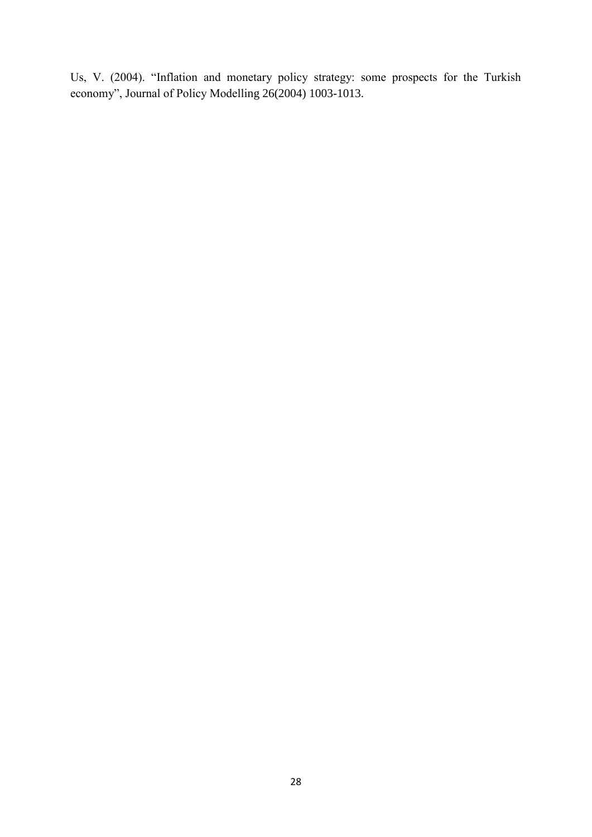Us, V. (2004). "Inflation and monetary policy strategy: some prospects for the Turkish economy", Journal of Policy Modelling 26(2004) 1003-1013.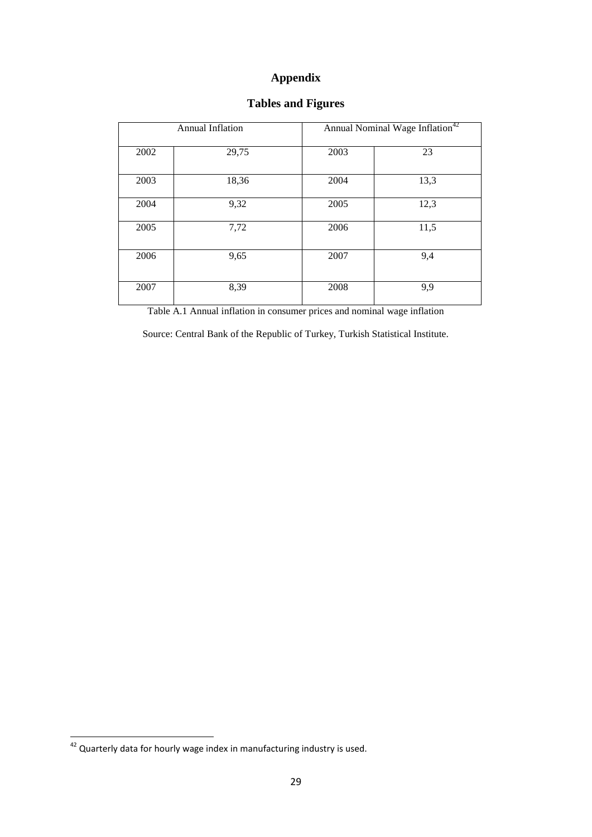# **Appendix**

|      | <b>Annual Inflation</b> | Annual Nominal Wage Inflation <sup>42</sup> |      |  |
|------|-------------------------|---------------------------------------------|------|--|
| 2002 | 29,75                   | 2003                                        | 23   |  |
| 2003 | 18,36                   | 2004                                        | 13,3 |  |
| 2004 | 9,32                    | 2005                                        | 12,3 |  |
| 2005 | 7,72                    | 2006                                        | 11,5 |  |
| 2006 | 9,65                    | 2007                                        | 9,4  |  |
| 2007 | 8,39                    | 2008                                        | 9,9  |  |

# **Tables and Figures**

Table A.1 Annual inflation in consumer prices and nominal wage inflation

Source: Central Bank of the Republic of Turkey, Turkish Statistical Institute.

Quarterly data for hourly wage index in manufacturing industry is used.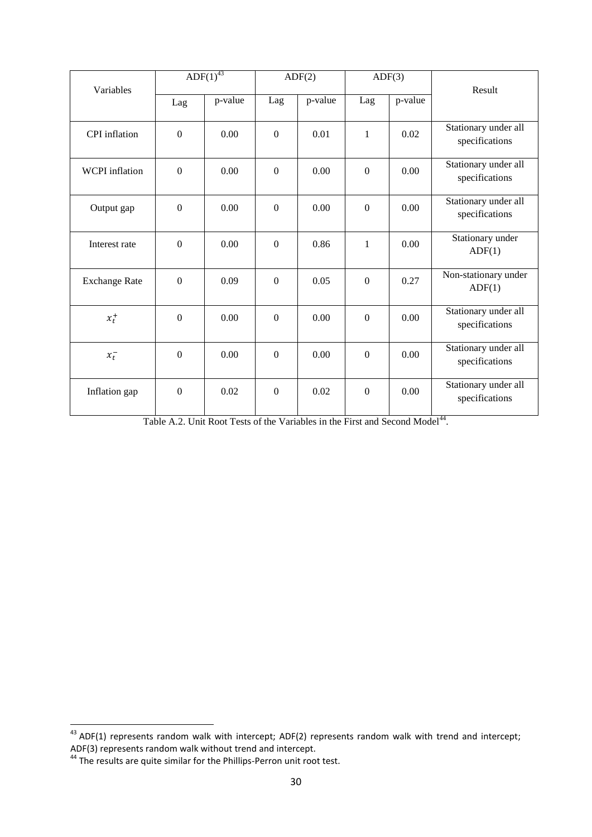| Variables             | ADF(1) <sup>43</sup> |         | ADF(2)         |         | ADF(3)           |         | Result                                 |
|-----------------------|----------------------|---------|----------------|---------|------------------|---------|----------------------------------------|
|                       | Lag                  | p-value | Lag            | p-value | Lag              | p-value |                                        |
| <b>CPI</b> inflation  | $\mathbf{0}$         | 0.00    | $\overline{0}$ | 0.01    | 1                | 0.02    | Stationary under all<br>specifications |
| <b>WCPI</b> inflation | $\boldsymbol{0}$     | 0.00    | $\mathbf{0}$   | 0.00    | $\boldsymbol{0}$ | 0.00    | Stationary under all<br>specifications |
| Output gap            | $\boldsymbol{0}$     | 0.00    | $\overline{0}$ | 0.00    | $\boldsymbol{0}$ | 0.00    | Stationary under all<br>specifications |
| Interest rate         | $\boldsymbol{0}$     | 0.00    | $\mathbf{0}$   | 0.86    | $\mathbf{1}$     | 0.00    | Stationary under<br>ADF(1)             |
| <b>Exchange Rate</b>  | $\boldsymbol{0}$     | 0.09    | $\overline{0}$ | 0.05    | $\overline{0}$   | 0.27    | Non-stationary under<br>ADF(1)         |
| $x_t^+$               | $\boldsymbol{0}$     | 0.00    | $\mathbf{0}$   | 0.00    | $\boldsymbol{0}$ | 0.00    | Stationary under all<br>specifications |
| $x_t^-$               | $\mathbf{0}$         | 0.00    | $\mathbf{0}$   | 0.00    | $\overline{0}$   | 0.00    | Stationary under all<br>specifications |
| Inflation gap         | $\boldsymbol{0}$     | 0.02    | $\mathbf{0}$   | 0.02    | $\mathbf{0}$     | 0.00    | Stationary under all<br>specifications |

| Table A.2. Unit Root Tests of the Variables in the First and Second Model <sup>44</sup> . |
|-------------------------------------------------------------------------------------------|
|-------------------------------------------------------------------------------------------|

 $^{43}$  ADF(1) represents random walk with intercept; ADF(2) represents random walk with trend and intercept; ADF(3) represents random walk without trend and intercept.

 $44$  The results are quite similar for the Phillips-Perron unit root test.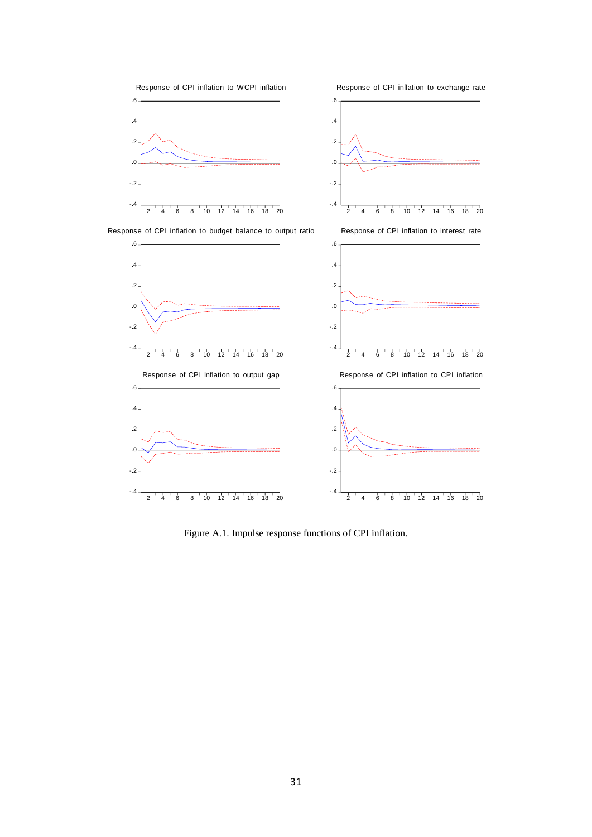

Figure A.1. Impulse response functions of CPI inflation.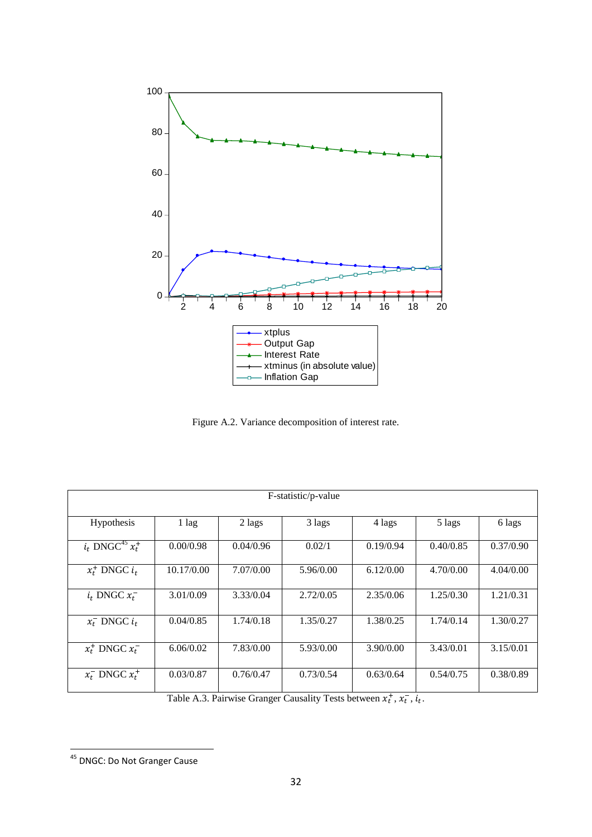

Figure A.2. Variance decomposition of interest rate.

| F-statistic/p-value              |            |           |           |           |           |           |  |  |
|----------------------------------|------------|-----------|-----------|-----------|-----------|-----------|--|--|
| Hypothesis                       | 1 lag      | 2 lags    | 3 lags    | 4 lags    | 5 lags    | 6 lags    |  |  |
| $i_t$ DNGC <sup>45</sup> $x_t^+$ | 0.00/0.98  | 0.04/0.96 | 0.02/1    | 0.19/0.94 | 0.40/0.85 | 0.37/0.90 |  |  |
| $x_t^+$ DNGC $i_t$               | 10.17/0.00 | 7.07/0.00 | 5.96/0.00 | 6.12/0.00 | 4.70/0.00 | 4.04/0.00 |  |  |
| $i_t$ DNGC $x_t^-$               | 3.01/0.09  | 3.33/0.04 | 2.72/0.05 | 2.35/0.06 | 1.25/0.30 | 1.21/0.31 |  |  |
| $x_t^-$ DNGC $i_t$               | 0.04/0.85  | 1.74/0.18 | 1.35/0.27 | 1.38/0.25 | 1.74/0.14 | 1.30/0.27 |  |  |
| $x_t^+$ DNGC $x_t^-$             | 6.06/0.02  | 7.83/0.00 | 5.93/0.00 | 3.90/0.00 | 3.43/0.01 | 3.15/0.01 |  |  |
| $x_t^-$ DNGC $x_t^+$             | 0.03/0.87  | 0.76/0.47 | 0.73/0.54 | 0.63/0.64 | 0.54/0.75 | 0.38/0.89 |  |  |

Table A.3. Pairwise Granger Causality Tests between  $x_t^+, x_t^-, i_t$ .

<sup>&</sup>lt;sup>45</sup> DNGC: Do Not Granger Cause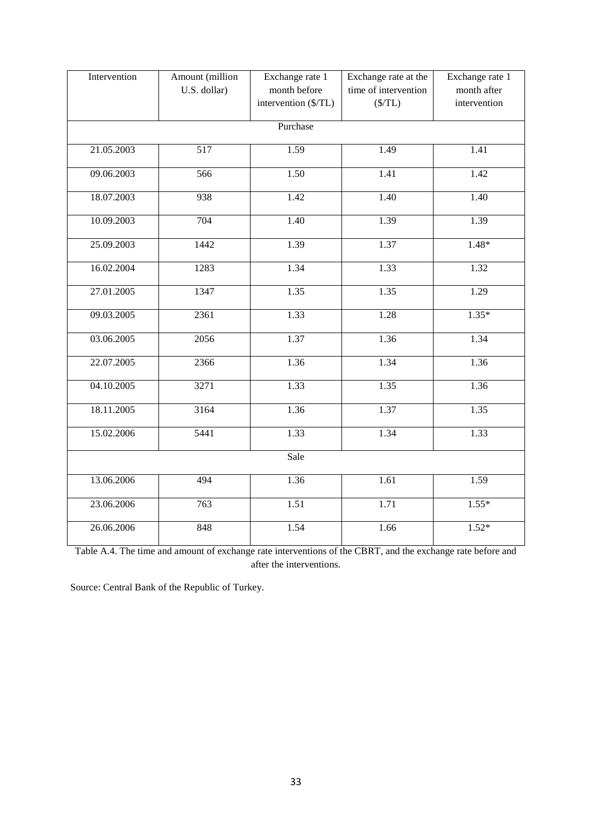| Intervention | Amount (million<br>U.S. dollar) | Exchange rate 1<br>month before<br>intervention (\$/TL) | Exchange rate at the<br>time of intervention<br>$(\frac{$}{T}L)$ | Exchange rate 1<br>month after<br>intervention |  |  |  |  |  |
|--------------|---------------------------------|---------------------------------------------------------|------------------------------------------------------------------|------------------------------------------------|--|--|--|--|--|
|              | Purchase                        |                                                         |                                                                  |                                                |  |  |  |  |  |
| 21.05.2003   | 517                             | 1.59                                                    | 1.49                                                             | 1.41                                           |  |  |  |  |  |
| 09.06.2003   | 566                             | 1.50                                                    | 1.41                                                             | $\overline{1.42}$                              |  |  |  |  |  |
| 18.07.2003   | 938                             | 1.42                                                    | 1.40                                                             | 1.40                                           |  |  |  |  |  |
| 10.09.2003   | 704                             | 1.40                                                    | 1.39                                                             | 1.39                                           |  |  |  |  |  |
| 25.09.2003   | 1442                            | 1.39                                                    | 1.37                                                             | $1.48*$                                        |  |  |  |  |  |
| 16.02.2004   | 1283                            | 1.34                                                    | 1.33                                                             | 1.32                                           |  |  |  |  |  |
| 27.01.2005   | 1347                            | 1.35                                                    | 1.35                                                             | 1.29                                           |  |  |  |  |  |
| 09.03.2005   | 2361                            | 1.33                                                    | 1.28                                                             | $1.35*$                                        |  |  |  |  |  |
| 03.06.2005   | 2056                            | 1.37                                                    | 1.36                                                             | 1.34                                           |  |  |  |  |  |
| 22.07.2005   | 2366                            | 1.36                                                    | 1.34                                                             | 1.36                                           |  |  |  |  |  |
| 04.10.2005   | 3271                            | 1.33                                                    | 1.35                                                             | 1.36                                           |  |  |  |  |  |
| 18.11.2005   | 3164                            | 1.36                                                    | 1.37                                                             | 1.35                                           |  |  |  |  |  |
| 15.02.2006   | 5441                            | 1.33                                                    | 1.34                                                             | 1.33                                           |  |  |  |  |  |
|              | Sale                            |                                                         |                                                                  |                                                |  |  |  |  |  |
| 13.06.2006   | 494                             | 1.36                                                    | $1.\overline{61}$                                                | 1.59                                           |  |  |  |  |  |
| 23.06.2006   | 763                             | 1.51                                                    | 1.71                                                             | $1.55*$                                        |  |  |  |  |  |
| 26.06.2006   | 848                             | 1.54                                                    | 1.66                                                             | $1.52*$                                        |  |  |  |  |  |

Table A.4. The time and amount of exchange rate interventions of the CBRT, and the exchange rate before and after the interventions.

Source: Central Bank of the Republic of Turkey.